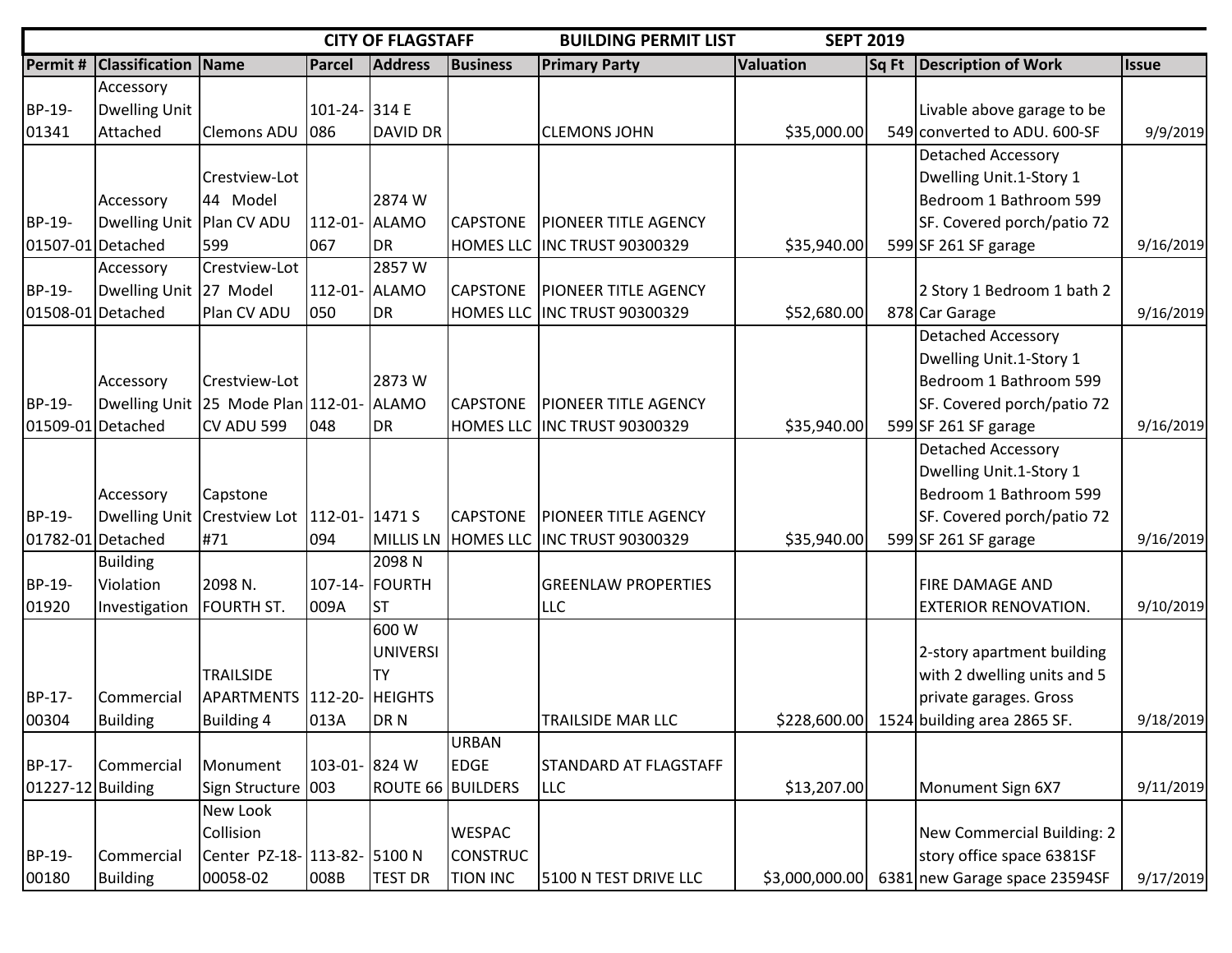|                   |                           |                                              |               | <b>CITY OF FLAGSTAFF</b> |                 | <b>BUILDING PERMIT LIST</b><br><b>SEPT 2019</b> |                  |       |                                          |              |
|-------------------|---------------------------|----------------------------------------------|---------------|--------------------------|-----------------|-------------------------------------------------|------------------|-------|------------------------------------------|--------------|
| Permit #          | <b>Classification</b>     | <b>Name</b>                                  | Parcel        | <b>Address</b>           | <b>Business</b> | <b>Primary Party</b>                            | <b>Valuation</b> | Sq Ft | <b>Description of Work</b>               | <b>Issue</b> |
|                   | Accessory                 |                                              |               |                          |                 |                                                 |                  |       |                                          |              |
| BP-19-            | <b>Dwelling Unit</b>      |                                              | 101-24- 314 E |                          |                 |                                                 |                  |       | Livable above garage to be               |              |
| 01341             | Attached                  | Clemons ADU 086                              |               | DAVID DR                 |                 | <b>CLEMONS JOHN</b>                             | \$35,000.00      |       | 549 converted to ADU. 600-SF             | 9/9/2019     |
|                   |                           |                                              |               |                          |                 |                                                 |                  |       | <b>Detached Accessory</b>                |              |
|                   |                           | Crestview-Lot                                |               |                          |                 |                                                 |                  |       | Dwelling Unit.1-Story 1                  |              |
|                   | Accessory                 | 44 Model                                     |               | 2874 W                   |                 |                                                 |                  |       | Bedroom 1 Bathroom 599                   |              |
| BP-19-            | Dwelling Unit Plan CV ADU |                                              | 112-01- ALAMO |                          | <b>CAPSTONE</b> | <b>PIONEER TITLE AGENCY</b>                     |                  |       | SF. Covered porch/patio 72               |              |
|                   | 01507-01 Detached         | 599                                          | 067           | DR                       |                 | HOMES LLC INC TRUST 90300329                    | \$35,940.00      |       | 599 SF 261 SF garage                     | 9/16/2019    |
|                   | Accessory                 | Crestview-Lot                                |               | 2857W                    |                 |                                                 |                  |       |                                          |              |
| BP-19-            | Dwelling Unit 27 Model    |                                              | 112-01- ALAMO |                          | <b>CAPSTONE</b> | <b>PIONEER TITLE AGENCY</b>                     |                  |       | 2 Story 1 Bedroom 1 bath 2               |              |
|                   | 01508-01 Detached         | Plan CV ADU                                  | 050           | DR                       |                 | HOMES LLC INC TRUST 90300329                    | \$52,680.00      |       | 878 Car Garage                           | 9/16/2019    |
|                   |                           |                                              |               |                          |                 |                                                 |                  |       | <b>Detached Accessory</b>                |              |
|                   |                           |                                              |               |                          |                 |                                                 |                  |       | Dwelling Unit.1-Story 1                  |              |
|                   | Accessory                 | Crestview-Lot                                |               | 2873W                    |                 |                                                 |                  |       | Bedroom 1 Bathroom 599                   |              |
| BP-19-            |                           | Dwelling Unit 25 Mode Plan 112-01- ALAMO     |               |                          | <b>CAPSTONE</b> | <b>PIONEER TITLE AGENCY</b>                     |                  |       | SF. Covered porch/patio 72               |              |
|                   | 01509-01 Detached         | CV ADU 599                                   | 048           | <b>DR</b>                |                 | HOMES LLC INC TRUST 90300329                    | \$35,940.00      |       | 599 SF 261 SF garage                     | 9/16/2019    |
|                   |                           |                                              |               |                          |                 |                                                 |                  |       | <b>Detached Accessory</b>                |              |
|                   |                           |                                              |               |                          |                 |                                                 |                  |       | Dwelling Unit.1-Story 1                  |              |
|                   | Accessory                 | Capstone                                     |               |                          |                 |                                                 |                  |       | Bedroom 1 Bathroom 599                   |              |
| BP-19-            |                           | Dwelling Unit Crestview Lot   112-01- 1471 S |               |                          | <b>CAPSTONE</b> | <b>PIONEER TITLE AGENCY</b>                     |                  |       | SF. Covered porch/patio 72               |              |
|                   | 01782-01 Detached         | #71                                          | 094           | MILLIS LN                |                 | HOMES LLC INC TRUST 90300329                    | \$35,940.00      |       | 599 SF 261 SF garage                     | 9/16/2019    |
|                   | <b>Building</b>           |                                              |               | 2098 <sub>N</sub>        |                 |                                                 |                  |       |                                          |              |
| BP-19-            | Violation                 | 2098 N.                                      |               | 107-14- FOURTH           |                 | <b>GREENLAW PROPERTIES</b>                      |                  |       | <b>FIRE DAMAGE AND</b>                   |              |
| 01920             | Investigation             | <b>FOURTH ST.</b>                            | 009A          | <b>ST</b>                |                 | <b>LLC</b>                                      |                  |       | <b>EXTERIOR RENOVATION.</b>              | 9/10/2019    |
|                   |                           |                                              |               | 600 W                    |                 |                                                 |                  |       |                                          |              |
|                   |                           |                                              |               | <b>UNIVERSI</b>          |                 |                                                 |                  |       | 2-story apartment building               |              |
|                   |                           | <b>TRAILSIDE</b>                             |               | <b>TY</b>                |                 |                                                 |                  |       | with 2 dwelling units and 5              |              |
| BP-17-            | Commercial                | APARTMENTS 112-20- HEIGHTS                   |               |                          |                 |                                                 |                  |       | private garages. Gross                   |              |
| 00304             | Building                  | <b>Building 4</b>                            | 013A          | DR <sub>N</sub>          |                 | <b>TRAILSIDE MAR LLC</b>                        |                  |       | \$228,600.00 1524 building area 2865 SF. | 9/18/2019    |
|                   |                           |                                              |               |                          | URBAN           |                                                 |                  |       |                                          |              |
| BP-17-            | Commercial                | Monument                                     | 103-01- 824 W |                          | <b>EDGE</b>     | <b>STANDARD AT FLAGSTAFF</b>                    |                  |       |                                          |              |
| 01227-12 Building |                           | Sign Structure 003                           |               | <b>ROUTE 66 BUILDERS</b> |                 | <b>LLC</b>                                      | \$13,207.00      |       | Monument Sign 6X7                        | 9/11/2019    |
|                   |                           | New Look                                     |               |                          |                 |                                                 |                  |       |                                          |              |
|                   |                           | Collision                                    |               |                          | <b>WESPAC</b>   |                                                 |                  |       | New Commercial Building: 2               |              |
| BP-19-            | Commercial                | Center PZ-18- 113-82- 5100 N                 |               |                          | <b>CONSTRUC</b> |                                                 |                  |       | story office space 6381SF                |              |
| 00180             | <b>Building</b>           | 00058-02                                     | 008B          | <b>TEST DR</b>           | <b>TION INC</b> | 5100 N TEST DRIVE LLC                           | \$3,000,000.00   |       | 6381 new Garage space 23594SF            | 9/17/2019    |
|                   |                           |                                              |               |                          |                 |                                                 |                  |       |                                          |              |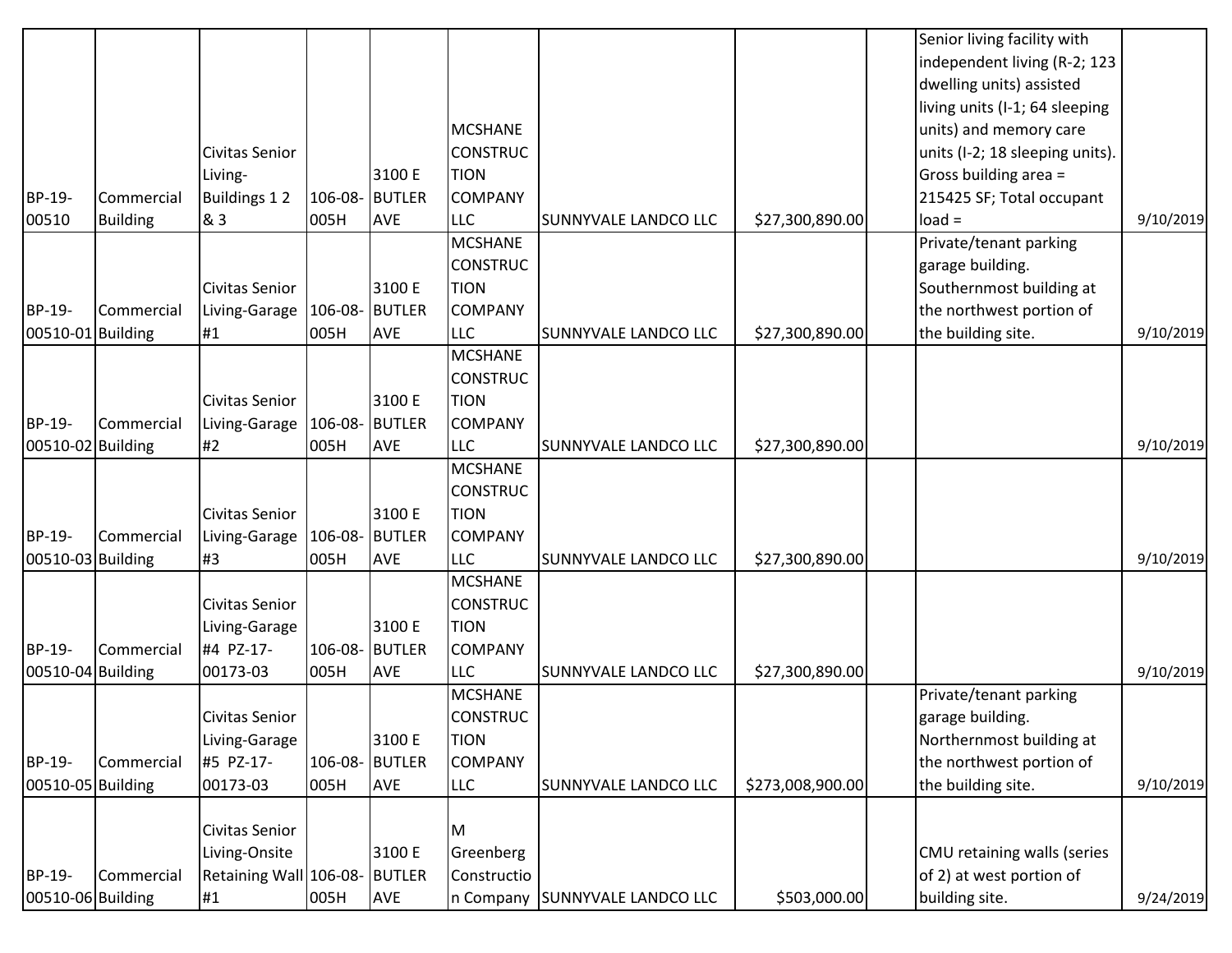|                   |                 |                                |                |                |                              |                                |                  | Senior living facility with<br>independent living (R-2; 123 |           |
|-------------------|-----------------|--------------------------------|----------------|----------------|------------------------------|--------------------------------|------------------|-------------------------------------------------------------|-----------|
|                   |                 |                                |                |                |                              |                                |                  | dwelling units) assisted                                    |           |
|                   |                 |                                |                |                |                              |                                |                  | living units (I-1; 64 sleeping                              |           |
|                   |                 |                                |                |                | <b>MCSHANE</b>               |                                |                  | units) and memory care                                      |           |
|                   |                 | Civitas Senior                 |                |                | <b>CONSTRUC</b>              |                                |                  | units (I-2; 18 sleeping units).                             |           |
|                   |                 | Living-                        |                | 3100 E         | <b>TION</b>                  |                                |                  | Gross building area =                                       |           |
| BP-19-            | Commercial      | <b>Buildings 12</b>            |                | 106-08- BUTLER | <b>COMPANY</b>               |                                |                  | 215425 SF; Total occupant                                   |           |
| 00510             | <b>Building</b> | & 3                            | 005H           | <b>AVE</b>     | <b>LLC</b>                   | SUNNYVALE LANDCO LLC           | \$27,300,890.00  | $load =$                                                    | 9/10/2019 |
|                   |                 |                                |                |                | <b>MCSHANE</b>               |                                |                  | Private/tenant parking                                      |           |
|                   |                 |                                |                |                | <b>CONSTRUC</b>              |                                |                  | garage building.                                            |           |
|                   |                 | Civitas Senior                 |                | 3100 E         | <b>TION</b>                  |                                |                  | Southernmost building at                                    |           |
| BP-19-            | Commercial      | Living-Garage   106-08- BUTLER |                |                | <b>COMPANY</b>               |                                |                  | the northwest portion of                                    |           |
| 00510-01 Building |                 | #1                             | 005H           | <b>AVE</b>     | <b>LLC</b>                   | SUNNYVALE LANDCO LLC           | \$27,300,890.00  | the building site.                                          | 9/10/2019 |
|                   |                 |                                |                |                | <b>MCSHANE</b>               |                                |                  |                                                             |           |
|                   |                 |                                |                |                | <b>CONSTRUC</b>              |                                |                  |                                                             |           |
|                   |                 | Civitas Senior                 |                | 3100 E         | <b>TION</b>                  |                                |                  |                                                             |           |
| BP-19-            | Commercial      | Living-Garage   106-08- BUTLER |                |                | <b>COMPANY</b>               |                                |                  |                                                             |           |
| 00510-02 Building |                 | #2                             | 005H           | <b>AVE</b>     | <b>LLC</b>                   | SUNNYVALE LANDCO LLC           | \$27,300,890.00  |                                                             | 9/10/2019 |
|                   |                 |                                |                |                | <b>MCSHANE</b>               |                                |                  |                                                             |           |
|                   |                 |                                |                |                | <b>CONSTRUC</b>              |                                |                  |                                                             |           |
|                   |                 | <b>Civitas Senior</b>          |                | 3100 E         | <b>TION</b>                  |                                |                  |                                                             |           |
| BP-19-            | Commercial      | Living-Garage                  | 106-08- BUTLER |                | <b>COMPANY</b>               |                                |                  |                                                             |           |
| 00510-03 Building |                 | #3                             | 005H           | <b>AVE</b>     | <b>LLC</b><br><b>MCSHANE</b> | <b>SUNNYVALE LANDCO LLC</b>    | \$27,300,890.00  |                                                             | 9/10/2019 |
|                   |                 | Civitas Senior                 |                |                | <b>CONSTRUC</b>              |                                |                  |                                                             |           |
|                   |                 |                                |                | 3100 E         | <b>TION</b>                  |                                |                  |                                                             |           |
| BP-19-            | Commercial      | Living-Garage<br>#4 PZ-17-     | 106-08- BUTLER |                | <b>COMPANY</b>               |                                |                  |                                                             |           |
| 00510-04 Building |                 | 00173-03                       | 005H           | <b>AVE</b>     | <b>LLC</b>                   | <b>SUNNYVALE LANDCO LLC</b>    | \$27,300,890.00  |                                                             | 9/10/2019 |
|                   |                 |                                |                |                | <b>MCSHANE</b>               |                                |                  | Private/tenant parking                                      |           |
|                   |                 | <b>Civitas Senior</b>          |                |                | <b>CONSTRUC</b>              |                                |                  | garage building.                                            |           |
|                   |                 | Living-Garage                  |                | 3100 E         | <b>TION</b>                  |                                |                  | Northernmost building at                                    |           |
| BP-19-            | Commercial      | #5 PZ-17-                      | 106-08- BUTLER |                | <b>COMPANY</b>               |                                |                  | the northwest portion of                                    |           |
| 00510-05 Building |                 | 00173-03                       | 005H           | <b>AVE</b>     | <b>LLC</b>                   | <b>SUNNYVALE LANDCO LLC</b>    | \$273,008,900.00 | the building site.                                          | 9/10/2019 |
|                   |                 |                                |                |                |                              |                                |                  |                                                             |           |
|                   |                 | Civitas Senior                 |                |                | IМ                           |                                |                  |                                                             |           |
|                   |                 | Living-Onsite                  |                | 3100 E         | Greenberg                    |                                |                  | CMU retaining walls (series                                 |           |
| BP-19-            | Commercial      | Retaining Wall 106-08- BUTLER  |                |                | Constructio                  |                                |                  | of 2) at west portion of                                    |           |
| 00510-06 Building |                 | #1                             | 005H           | <b>AVE</b>     |                              | n Company SUNNYVALE LANDCO LLC | \$503,000.00     | building site.                                              | 9/24/2019 |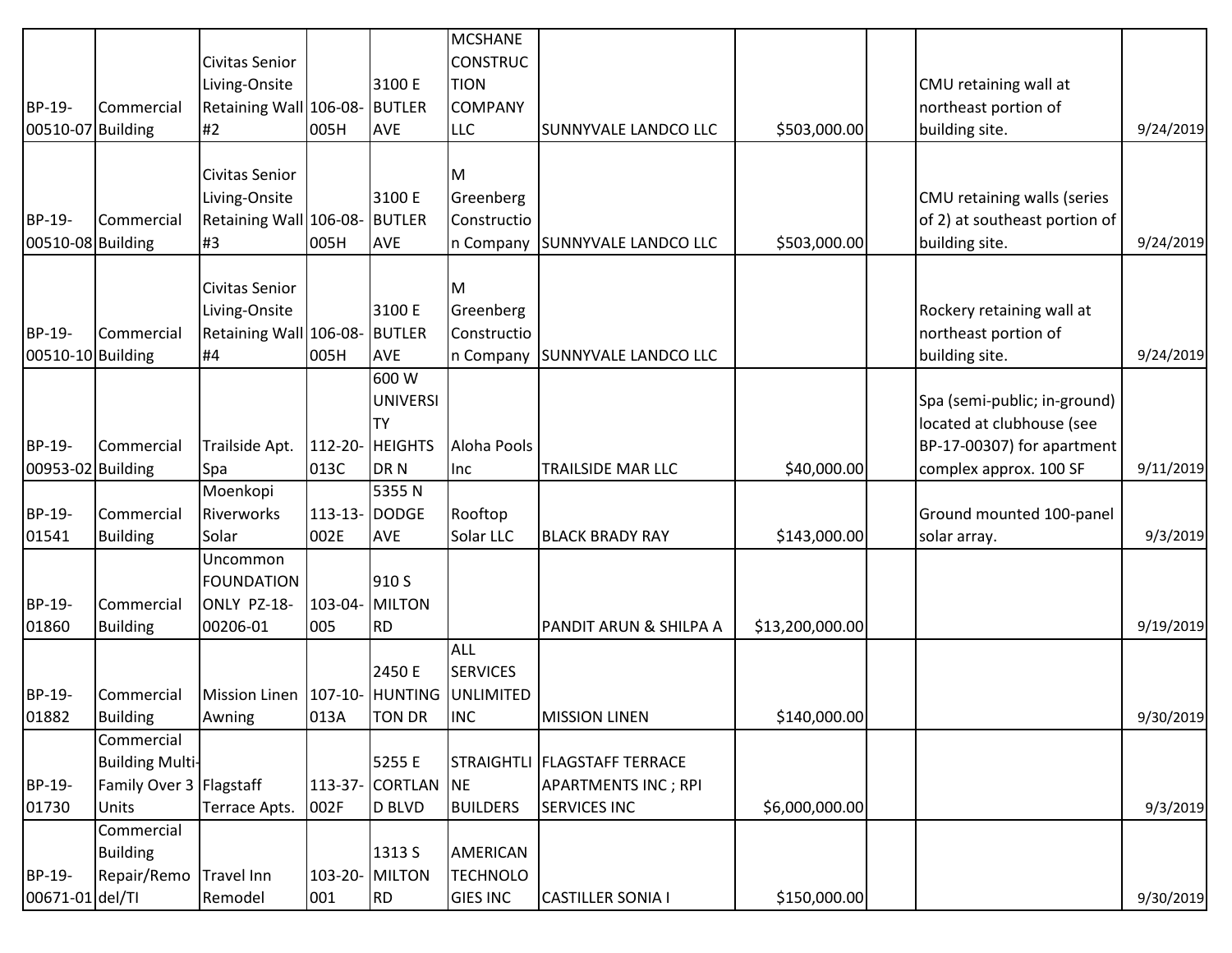|                   |                         |                                             |               |                    | <b>MCSHANE</b>  |                                 |                 |                               |           |
|-------------------|-------------------------|---------------------------------------------|---------------|--------------------|-----------------|---------------------------------|-----------------|-------------------------------|-----------|
|                   |                         | Civitas Senior                              |               |                    | <b>CONSTRUC</b> |                                 |                 |                               |           |
|                   |                         | Living-Onsite                               |               | 3100 E             | <b>TION</b>     |                                 |                 | CMU retaining wall at         |           |
| BP-19-            | Commercial              | Retaining Wall 106-08- BUTLER               |               |                    | <b>COMPANY</b>  |                                 |                 | northeast portion of          |           |
| 00510-07 Building |                         | #2                                          | 005H          | <b>AVE</b>         | <b>LLC</b>      | SUNNYVALE LANDCO LLC            | \$503,000.00    | building site.                | 9/24/2019 |
|                   |                         |                                             |               |                    |                 |                                 |                 |                               |           |
|                   |                         | Civitas Senior                              |               |                    | Iм              |                                 |                 |                               |           |
|                   |                         | Living-Onsite                               |               | 3100 E             | Greenberg       |                                 |                 | CMU retaining walls (series   |           |
| BP-19-            | Commercial              | Retaining Wall 106-08- BUTLER               |               |                    | Constructio     |                                 |                 | of 2) at southeast portion of |           |
| 00510-08 Building |                         | #3                                          | 005H          | <b>AVE</b>         |                 | n Company SUNNYVALE LANDCO LLC  | \$503,000.00    | building site.                | 9/24/2019 |
|                   |                         |                                             |               |                    |                 |                                 |                 |                               |           |
|                   |                         | Civitas Senior                              |               |                    | Iм              |                                 |                 |                               |           |
|                   |                         | Living-Onsite                               |               | 3100 E             | Greenberg       |                                 |                 | Rockery retaining wall at     |           |
| BP-19-            | Commercial              | Retaining Wall 106-08- BUTLER               |               |                    | Constructio     |                                 |                 | northeast portion of          |           |
| 00510-10 Building |                         | #4                                          | 005H          | <b>AVE</b>         |                 | In Company SUNNYVALE LANDCO LLC |                 | building site.                | 9/24/2019 |
|                   |                         |                                             |               | 600 W              |                 |                                 |                 |                               |           |
|                   |                         |                                             |               | <b>UNIVERSI</b>    |                 |                                 |                 | Spa (semi-public; in-ground)  |           |
|                   |                         |                                             |               | <b>TY</b>          |                 |                                 |                 | located at clubhouse (see     |           |
| BP-19-            | Commercial              | Trailside Apt.   112-20-   HEIGHTS          |               |                    | Aloha Pools     |                                 |                 | BP-17-00307) for apartment    |           |
| 00953-02 Building |                         | Spa                                         | 013C          | DR N               | Inc             | TRAILSIDE MAR LLC               | \$40,000.00     | complex approx. 100 SF        | 9/11/2019 |
|                   |                         | Moenkopi                                    |               | 5355N              |                 |                                 |                 |                               |           |
| BP-19-            | Commercial              | Riverworks                                  | 113-13- DODGE |                    | Rooftop         |                                 |                 | Ground mounted 100-panel      |           |
| 01541             | <b>Building</b>         | Solar                                       | 002E          | <b>AVE</b>         | Solar LLC       | <b>BLACK BRADY RAY</b>          | \$143,000.00    | solar array.                  | 9/3/2019  |
|                   |                         | Uncommon                                    |               |                    |                 |                                 |                 |                               |           |
|                   |                         | <b>FOUNDATION</b>                           |               | 910 S              |                 |                                 |                 |                               |           |
| BP-19-            | Commercial              | ONLY PZ-18-                                 |               | 103-04- MILTON     |                 |                                 |                 |                               |           |
| 01860             | <b>Building</b>         | 00206-01                                    | 005           | RD.                |                 | PANDIT ARUN & SHILPA A          | \$13,200,000.00 |                               | 9/19/2019 |
|                   |                         |                                             |               |                    | ALL             |                                 |                 |                               |           |
|                   |                         |                                             |               | 2450 E             | <b>SERVICES</b> |                                 |                 |                               |           |
| BP-19-            | Commercial              | Mission Linen   107-10- HUNTING   UNLIMITED |               |                    |                 |                                 |                 |                               |           |
| 01882             | <b>Building</b>         | Awning                                      | 013A          | <b>TON DR</b>      | <b>INC</b>      | <b>MISSION LINEN</b>            | \$140,000.00    |                               | 9/30/2019 |
|                   | Commercial              |                                             |               |                    |                 |                                 |                 |                               |           |
|                   | <b>Building Multi-</b>  |                                             |               | 5255 E             |                 | STRAIGHTLI   FLAGSTAFF TERRACE  |                 |                               |           |
| BP-19-            | Family Over 3 Flagstaff |                                             |               | 113-37- CORTLAN NE |                 | <b>APARTMENTS INC; RPI</b>      |                 |                               |           |
| 01730             | <b>Units</b>            | Terrace Apts.                               | 002F          | D BLVD             | <b>BUILDERS</b> | SERVICES INC                    | \$6,000,000.00  |                               | 9/3/2019  |
|                   | Commercial              |                                             |               |                    |                 |                                 |                 |                               |           |
|                   | Building                |                                             |               | 1313 S             | AMERICAN        |                                 |                 |                               |           |
| BP-19-            | Repair/Remo             | Travel Inn                                  |               | 103-20- MILTON     | <b>TECHNOLO</b> |                                 |                 |                               |           |
| 00671-01 del/Tl   |                         | Remodel                                     | 001           | RD                 | <b>GIES INC</b> | <b>CASTILLER SONIA I</b>        | \$150,000.00    |                               | 9/30/2019 |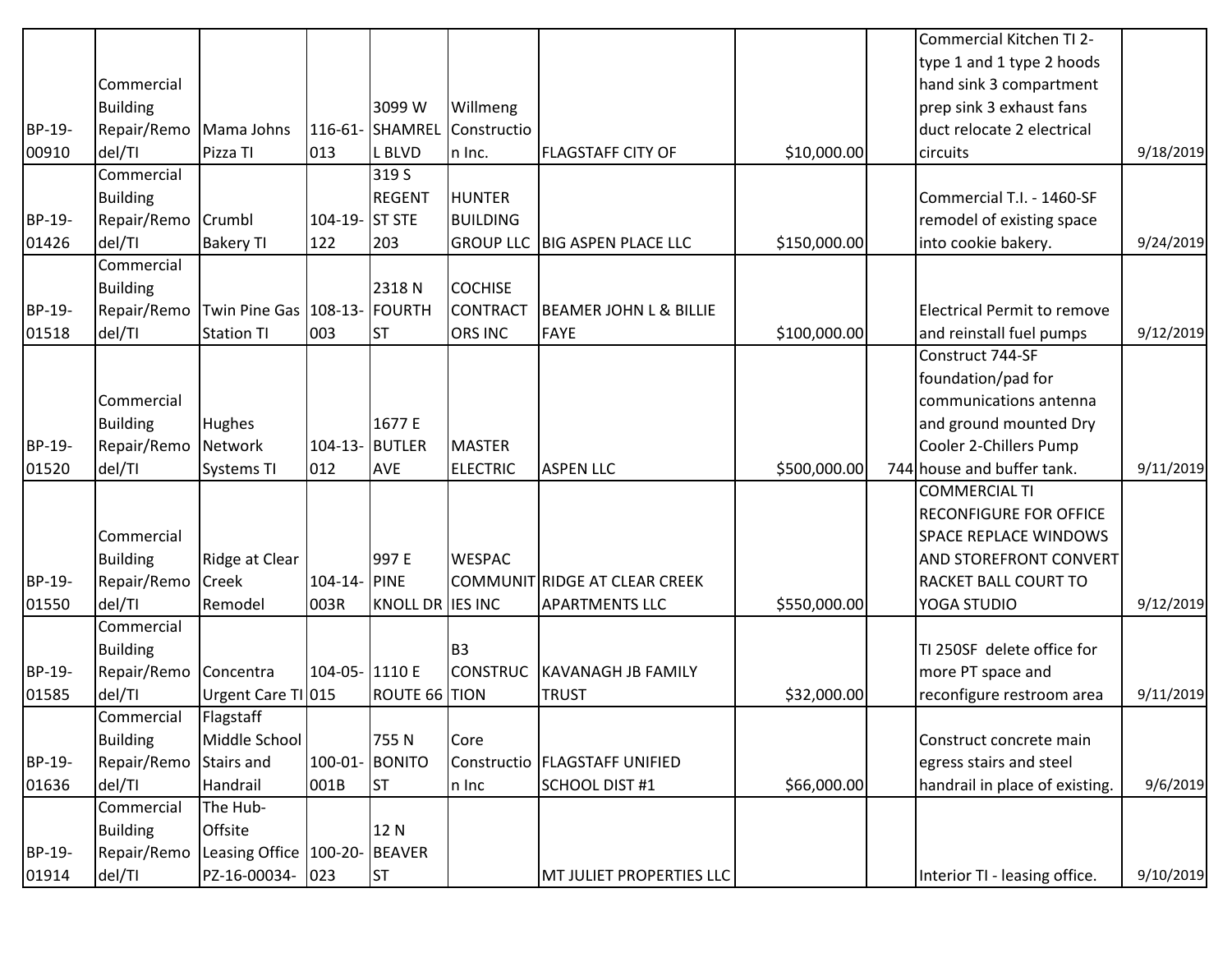|        |                 |                                 |                 |                      |                 |                                      |              | Commercial Kitchen TI 2-       |           |
|--------|-----------------|---------------------------------|-----------------|----------------------|-----------------|--------------------------------------|--------------|--------------------------------|-----------|
|        |                 |                                 |                 |                      |                 |                                      |              | type 1 and 1 type 2 hoods      |           |
|        | Commercial      |                                 |                 |                      |                 |                                      |              | hand sink 3 compartment        |           |
|        | <b>Building</b> |                                 |                 | 3099 W               | Willmeng        |                                      |              | prep sink 3 exhaust fans       |           |
| BP-19- | Repair/Remo     | Mama Johns                      |                 | 116-61- SHAMREL      | Constructio     |                                      |              | duct relocate 2 electrical     |           |
| 00910  | del/TI          | Pizza TI                        | 013             | L BLVD               | n Inc.          | <b>FLAGSTAFF CITY OF</b>             | \$10,000.00  | circuits                       | 9/18/2019 |
|        | Commercial      |                                 |                 | 319S                 |                 |                                      |              |                                |           |
|        | <b>Building</b> |                                 |                 | <b>REGENT</b>        | <b>HUNTER</b>   |                                      |              | Commercial T.I. - 1460-SF      |           |
| BP-19- | Repair/Remo     | Crumbl                          | 104-19- ST STE  |                      | <b>BUILDING</b> |                                      |              | remodel of existing space      |           |
| 01426  | del/TI          | <b>Bakery TI</b>                | 122             | 203                  |                 | <b>GROUP LLC BIG ASPEN PLACE LLC</b> | \$150,000.00 | into cookie bakery.            | 9/24/2019 |
|        | Commercial      |                                 |                 |                      |                 |                                      |              |                                |           |
|        | <b>Building</b> |                                 |                 | 2318N                | <b>COCHISE</b>  |                                      |              |                                |           |
| BP-19- | Repair/Remo     | Twin Pine Gas   108-13- FOURTH  |                 |                      | <b>CONTRACT</b> | <b>BEAMER JOHN L &amp; BILLIE</b>    |              | Electrical Permit to remove    |           |
| 01518  | del/TI          | <b>Station TI</b>               | 003             | <b>ST</b>            | <b>ORS INC</b>  | <b>FAYE</b>                          | \$100,000.00 | and reinstall fuel pumps       | 9/12/2019 |
|        |                 |                                 |                 |                      |                 |                                      |              | Construct 744-SF               |           |
|        |                 |                                 |                 |                      |                 |                                      |              | foundation/pad for             |           |
|        | Commercial      |                                 |                 |                      |                 |                                      |              | communications antenna         |           |
|        | <b>Building</b> | <b>Hughes</b>                   |                 | 1677 E               |                 |                                      |              | and ground mounted Dry         |           |
| BP-19- | Repair/Remo     | Network                         | 104-13- BUTLER  |                      | MASTER          |                                      |              | Cooler 2-Chillers Pump         |           |
| 01520  | del/TI          | <b>Systems TI</b>               | 012             | <b>AVE</b>           | <b>ELECTRIC</b> | <b>ASPEN LLC</b>                     | \$500,000.00 | 744 house and buffer tank.     | 9/11/2019 |
|        |                 |                                 |                 |                      |                 |                                      |              | <b>COMMERCIAL TI</b>           |           |
|        |                 |                                 |                 |                      |                 |                                      |              | <b>RECONFIGURE FOR OFFICE</b>  |           |
|        | Commercial      |                                 |                 |                      |                 |                                      |              | <b>SPACE REPLACE WINDOWS</b>   |           |
|        | <b>Building</b> | Ridge at Clear                  |                 | 997 E                | <b>WESPAC</b>   |                                      |              | <b>AND STOREFRONT CONVERT</b>  |           |
| BP-19- | Repair/Remo     | Creek                           | 104-14- PINE    |                      |                 | COMMUNIT RIDGE AT CLEAR CREEK        |              | RACKET BALL COURT TO           |           |
| 01550  | del/TI          | Remodel                         | 003R            | KNOLL DR IES INC     |                 | <b>APARTMENTS LLC</b>                | \$550,000.00 | YOGA STUDIO                    | 9/12/2019 |
|        | Commercial      |                                 |                 |                      |                 |                                      |              |                                |           |
|        | <b>Building</b> |                                 |                 |                      | B3              |                                      |              | TI 250SF delete office for     |           |
| BP-19- | Repair/Remo     | Concentra                       | 104-05- 11110 E |                      | <b>CONSTRUC</b> | <b>KAVANAGH JB FAMILY</b>            |              | more PT space and              |           |
| 01585  | del/TI          | Urgent Care TI 015              |                 | <b>ROUTE 66 TION</b> |                 | <b>TRUST</b>                         | \$32,000.00  | reconfigure restroom area      | 9/11/2019 |
|        | Commercial      | Flagstaff                       |                 |                      |                 |                                      |              |                                |           |
|        | <b>Building</b> | Middle School                   |                 | 755N                 | Core            |                                      |              | Construct concrete main        |           |
| BP-19- | Repair/Remo     | Stairs and                      | 100-01- BONITO  |                      |                 | Constructio   FLAGSTAFF UNIFIED      |              | egress stairs and steel        |           |
| 01636  | del/TI          | Handrail                        | 001B            | <b>ST</b>            | n Inc           | <b>SCHOOL DIST #1</b>                | \$66,000.00  | handrail in place of existing. | 9/6/2019  |
|        | Commercial      | The Hub-                        |                 |                      |                 |                                      |              |                                |           |
|        | <b>Building</b> | Offsite                         |                 | 12N                  |                 |                                      |              |                                |           |
| BP-19- | Repair/Remo     | Leasing Office   100-20- BEAVER |                 |                      |                 |                                      |              |                                |           |
| 01914  | del/TI          | PZ-16-00034- 023                |                 | <b>ST</b>            |                 | MT JULIET PROPERTIES LLC             |              | Interior TI - leasing office.  | 9/10/2019 |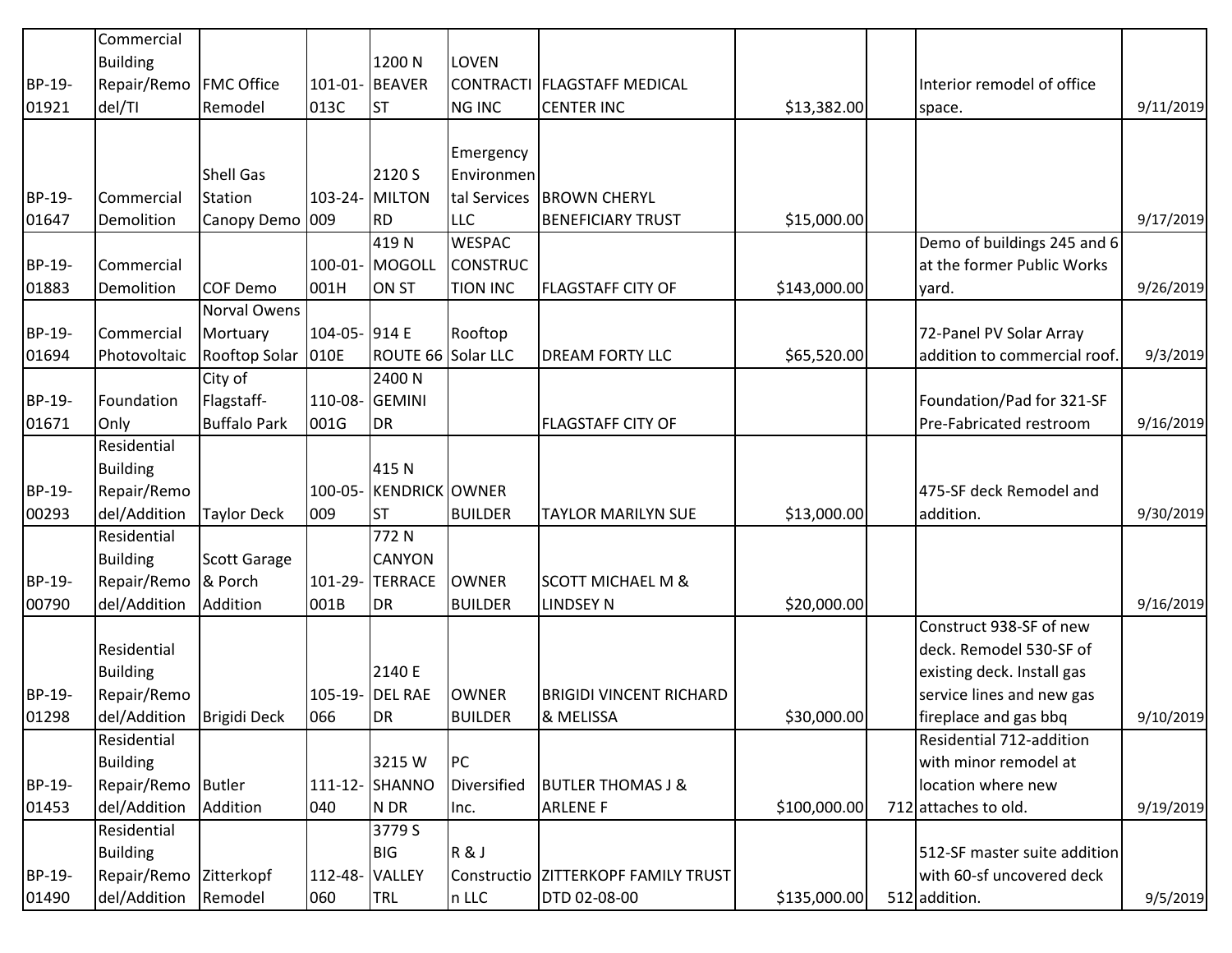|        | Commercial                  |                     |                |                        |                 |                                |              |                              |           |
|--------|-----------------------------|---------------------|----------------|------------------------|-----------------|--------------------------------|--------------|------------------------------|-----------|
|        | <b>Building</b>             |                     |                | 1200 N                 | <b>LOVEN</b>    |                                |              |                              |           |
| BP-19- | Repair/Remo                 | <b>FMC Office</b>   |                | 101-01- BEAVER         |                 | CONTRACTI   FLAGSTAFF MEDICAL  |              | Interior remodel of office   |           |
| 01921  | del/TI                      | Remodel             | 013C           | <b>ST</b>              | <b>NG INC</b>   | <b>CENTER INC</b>              | \$13,382.00  | space.                       | 9/11/2019 |
|        |                             |                     |                |                        |                 |                                |              |                              |           |
|        |                             |                     |                |                        | Emergency       |                                |              |                              |           |
|        |                             | <b>Shell Gas</b>    |                | 2120 S                 | Environmen      |                                |              |                              |           |
| BP-19- | Commercial                  | Station             |                | 103-24- MILTON         | tal Services    | <b>BROWN CHERYL</b>            |              |                              |           |
| 01647  | Demolition                  | Canopy Demo 009     |                | <b>RD</b>              | <b>LLC</b>      | <b>BENEFICIARY TRUST</b>       | \$15,000.00  |                              | 9/17/2019 |
|        |                             |                     |                | 419N                   | <b>WESPAC</b>   |                                |              | Demo of buildings 245 and 6  |           |
| BP-19- | Commercial                  |                     |                | 100-01- MOGOLL         | <b>CONSTRUC</b> |                                |              | at the former Public Works   |           |
| 01883  | Demolition                  | COF Demo            | 001H           | ON ST                  | <b>TION INC</b> | <b>FLAGSTAFF CITY OF</b>       | \$143,000.00 | yard.                        | 9/26/2019 |
|        |                             | Norval Owens        |                |                        |                 |                                |              |                              |           |
| BP-19- | Commercial                  | Mortuary            | 104-05- 914 E  |                        | Rooftop         |                                |              | 72-Panel PV Solar Array      |           |
| 01694  | Photovoltaic                | Rooftop Solar 010E  |                | ROUTE 66 Solar LLC     |                 | <b>DREAM FORTY LLC</b>         | \$65,520.00  | addition to commercial roof. | 9/3/2019  |
|        |                             | City of             |                | 2400 N                 |                 |                                |              |                              |           |
| BP-19- | Foundation                  | Flagstaff-          | 110-08- GEMINI |                        |                 |                                |              | Foundation/Pad for 321-SF    |           |
| 01671  | Only                        | <b>Buffalo Park</b> | 001G           | DR                     |                 | <b>FLAGSTAFF CITY OF</b>       |              | Pre-Fabricated restroom      | 9/16/2019 |
|        | Residential                 |                     |                |                        |                 |                                |              |                              |           |
|        | <b>Building</b>             |                     |                | 415N                   |                 |                                |              |                              |           |
| BP-19- | Repair/Remo                 |                     |                | 100-05- KENDRICK OWNER |                 |                                |              | 475-SF deck Remodel and      |           |
| 00293  | del/Addition                | Taylor Deck         | 009            | <b>ST</b>              | <b>BUILDER</b>  | <b>TAYLOR MARILYN SUE</b>      | \$13,000.00  | addition.                    | 9/30/2019 |
|        | Residential                 |                     |                | 772N                   |                 |                                |              |                              |           |
|        | <b>Building</b>             | <b>Scott Garage</b> |                | <b>CANYON</b>          |                 |                                |              |                              |           |
| BP-19- | Repair/Remo                 | & Porch             |                | 101-29-TERRACE         | <b>OWNER</b>    | <b>SCOTT MICHAEL M &amp;</b>   |              |                              |           |
| 00790  | del/Addition                | Addition            | 001B           | DR                     | <b>BUILDER</b>  | <b>LINDSEY N</b>               | \$20,000.00  |                              | 9/16/2019 |
|        |                             |                     |                |                        |                 |                                |              | Construct 938-SF of new      |           |
|        | Residential                 |                     |                |                        |                 |                                |              | deck. Remodel 530-SF of      |           |
|        | <b>Building</b>             |                     |                | 2140 E                 |                 |                                |              | existing deck. Install gas   |           |
| BP-19- | Repair/Remo                 |                     |                | 105-19- DEL RAE        | <b>OWNER</b>    | <b>BRIGIDI VINCENT RICHARD</b> |              | service lines and new gas    |           |
| 01298  | del/Addition   Brigidi Deck |                     | 066            | DR                     | <b>BUILDER</b>  | & MELISSA                      | \$30,000.00  | fireplace and gas bbq        | 9/10/2019 |
|        | Residential                 |                     |                |                        |                 |                                |              | Residential 712-addition     |           |
|        | <b>Building</b>             |                     |                | 3215W                  | PC              |                                |              | with minor remodel at        |           |
| BP-19- | Repair/Remo                 | <b>Butler</b>       |                | 111-12- SHANNO         | Diversified     | <b>BUTLER THOMAS J &amp;</b>   |              | location where new           |           |
| 01453  | del/Addition                | Addition            | 040            | N DR                   | Inc.            | <b>ARLENE F</b>                | \$100,000.00 | 712 attaches to old.         | 9/19/2019 |
|        | Residential                 |                     |                | 3779 S                 |                 |                                |              |                              |           |
|        | <b>Building</b>             |                     |                | BIG                    | R&J             |                                |              | 512-SF master suite addition |           |
| BP-19- | Repair/Remo                 | Zitterkopf          | 112-48- VALLEY |                        | Constructio     | <b>ZITTERKOPF FAMILY TRUST</b> |              | with 60-sf uncovered deck    |           |
| 01490  | del/Addition                | Remodel             | 060            | TRL                    | n LLC           | DTD 02-08-00                   | \$135,000.00 | 512 addition.                | 9/5/2019  |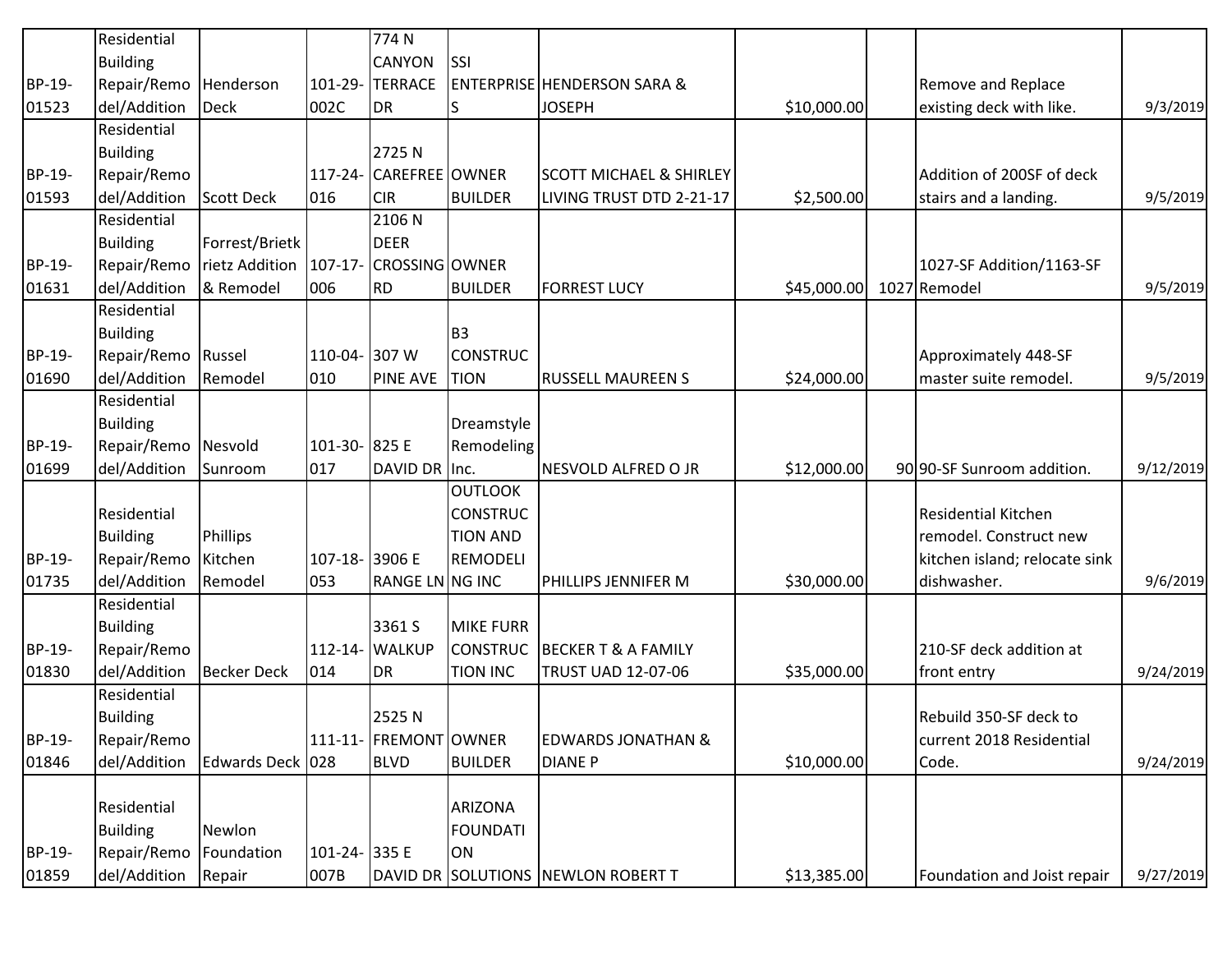|        | Residential     |                                         |                | 774N                   |                  |                                        |             |                               |           |
|--------|-----------------|-----------------------------------------|----------------|------------------------|------------------|----------------------------------------|-------------|-------------------------------|-----------|
|        | <b>Building</b> |                                         |                | <b>CANYON</b>          | <b>SSI</b>       |                                        |             |                               |           |
| BP-19- | Repair/Remo     | Henderson                               |                | 101-29-TERRACE         |                  | <b>ENTERPRISE HENDERSON SARA &amp;</b> |             | Remove and Replace            |           |
| 01523  | del/Addition    | <b>Deck</b>                             | 002C           | DR.                    | lS               | <b>JOSEPH</b>                          | \$10,000.00 | existing deck with like.      | 9/3/2019  |
|        | Residential     |                                         |                |                        |                  |                                        |             |                               |           |
|        | <b>Building</b> |                                         |                | 2725N                  |                  |                                        |             |                               |           |
| BP-19- | Repair/Remo     |                                         |                | 117-24- CAREFREE OWNER |                  | <b>SCOTT MICHAEL &amp; SHIRLEY</b>     |             | Addition of 200SF of deck     |           |
| 01593  | del/Addition    | <b>Scott Deck</b>                       | 016            | <b>CIR</b>             | <b>BUILDER</b>   | LIVING TRUST DTD 2-21-17               | \$2,500.00  | stairs and a landing.         | 9/5/2019  |
|        | Residential     |                                         |                | 2106N                  |                  |                                        |             |                               |           |
|        | <b>Building</b> | Forrest/Brietk                          |                | <b>DEER</b>            |                  |                                        |             |                               |           |
| BP-19- | Repair/Remo     | rietz Addition   107-17- CROSSING OWNER |                |                        |                  |                                        |             | 1027-SF Addition/1163-SF      |           |
| 01631  | del/Addition    | & Remodel                               | 006            | RD                     | <b>BUILDER</b>   | <b>FORREST LUCY</b>                    | \$45,000.00 | 1027 Remodel                  | 9/5/2019  |
|        | Residential     |                                         |                |                        |                  |                                        |             |                               |           |
|        | <b>Building</b> |                                         |                |                        | B <sub>3</sub>   |                                        |             |                               |           |
| BP-19- | Repair/Remo     | Russel                                  | 110-04- 307 W  |                        | <b>CONSTRUC</b>  |                                        |             | Approximately 448-SF          |           |
| 01690  | del/Addition    | Remodel                                 | 010            | <b>PINE AVE</b>        | <b>TION</b>      | <b>RUSSELL MAUREEN S</b>               | \$24,000.00 | master suite remodel.         | 9/5/2019  |
|        | Residential     |                                         |                |                        |                  |                                        |             |                               |           |
|        | <b>Building</b> |                                         |                |                        | Dreamstyle       |                                        |             |                               |           |
| BP-19- | Repair/Remo     | Nesvold                                 | 101-30- 825 E  |                        | Remodeling       |                                        |             |                               |           |
| 01699  | del/Addition    | Sunroom                                 | 017            | DAVID DR Inc.          |                  | NESVOLD ALFRED O JR                    | \$12,000.00 | 90 90-SF Sunroom addition.    | 9/12/2019 |
|        |                 |                                         |                |                        | <b>OUTLOOK</b>   |                                        |             |                               |           |
|        | Residential     |                                         |                |                        | <b>CONSTRUC</b>  |                                        |             | <b>Residential Kitchen</b>    |           |
|        | <b>Building</b> | Phillips                                |                |                        | <b>TION AND</b>  |                                        |             | remodel. Construct new        |           |
| BP-19- | Repair/Remo     | Kitchen                                 | 107-18- 3906 E |                        | REMODELI         |                                        |             | kitchen island; relocate sink |           |
| 01735  | del/Addition    | Remodel                                 | 053            | RANGE LN NG INC        |                  | PHILLIPS JENNIFER M                    | \$30,000.00 | dishwasher.                   | 9/6/2019  |
|        | Residential     |                                         |                |                        |                  |                                        |             |                               |           |
|        | <b>Building</b> |                                         |                | 3361 S                 | <b>MIKE FURR</b> |                                        |             |                               |           |
| BP-19- | Repair/Remo     |                                         |                | 112-14- WALKUP         | <b>CONSTRUC</b>  | <b>BECKER T &amp; A FAMILY</b>         |             | 210-SF deck addition at       |           |
| 01830  | del/Addition    | <b>Becker Deck</b>                      | 014            | <b>DR</b>              | <b>TION INC</b>  | TRUST UAD 12-07-06                     | \$35,000.00 | front entry                   | 9/24/2019 |
|        | Residential     |                                         |                |                        |                  |                                        |             |                               |           |
|        | Building        |                                         |                | 2525N                  |                  |                                        |             | Rebuild 350-SF deck to        |           |
| BP-19- | Repair/Remo     |                                         |                | 111-11- FREMONT OWNER  |                  | <b>EDWARDS JONATHAN &amp;</b>          |             | current 2018 Residential      |           |
| 01846  | del/Addition    | Edwards Deck 028                        |                | <b>BLVD</b>            | <b>BUILDER</b>   | <b>DIANE P</b>                         | \$10,000.00 | Code.                         | 9/24/2019 |
|        |                 |                                         |                |                        |                  |                                        |             |                               |           |
|        | Residential     |                                         |                |                        | <b>ARIZONA</b>   |                                        |             |                               |           |
|        | <b>Building</b> | Newlon                                  |                |                        | <b>FOUNDATI</b>  |                                        |             |                               |           |
| BP-19- | Repair/Remo     | Foundation                              | 101-24- 335 E  |                        | ON               |                                        |             |                               |           |
| 01859  | del/Addition    | Repair                                  | 007B           |                        |                  | DAVID DR SOLUTIONS NEWLON ROBERT T     | \$13,385.00 | Foundation and Joist repair   | 9/27/2019 |
|        |                 |                                         |                |                        |                  |                                        |             |                               |           |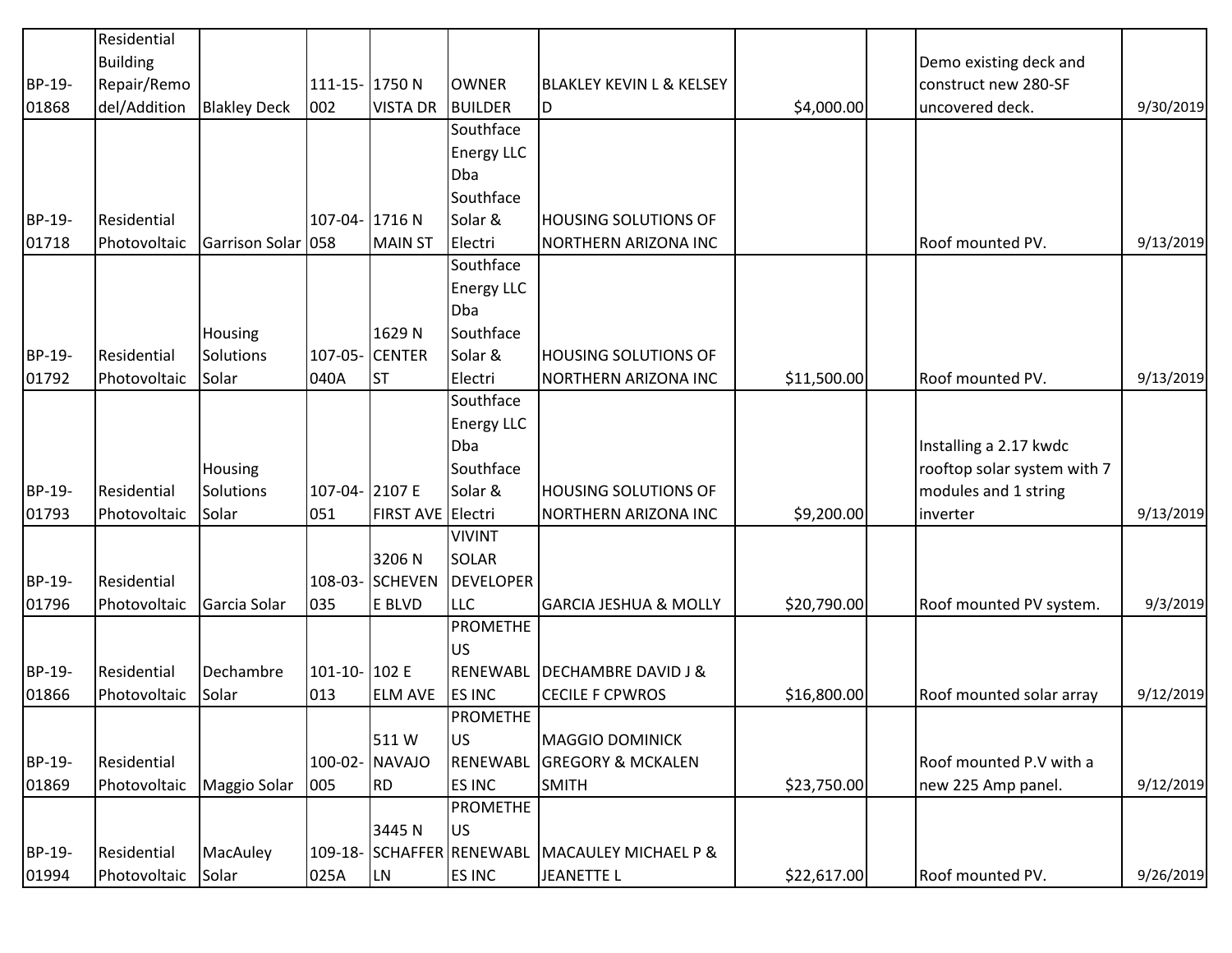|        | Residential     |                     |                |                   |                           |                                     |             |                             |           |
|--------|-----------------|---------------------|----------------|-------------------|---------------------------|-------------------------------------|-------------|-----------------------------|-----------|
|        | <b>Building</b> |                     |                |                   |                           |                                     |             | Demo existing deck and      |           |
| BP-19- | Repair/Remo     |                     | 111-15-1750N   |                   | <b>OWNER</b>              | <b>BLAKLEY KEVIN L &amp; KELSEY</b> |             | construct new 280-SF        |           |
| 01868  | del/Addition    | <b>Blakley Deck</b> | 002            | <b>VISTA DR</b>   | <b>BUILDER</b>            | D                                   | \$4,000.00  | uncovered deck.             | 9/30/2019 |
|        |                 |                     |                |                   | Southface                 |                                     |             |                             |           |
|        |                 |                     |                |                   | <b>Energy LLC</b>         |                                     |             |                             |           |
|        |                 |                     |                |                   | <b>Dba</b>                |                                     |             |                             |           |
|        |                 |                     |                |                   | Southface                 |                                     |             |                             |           |
| BP-19- | Residential     |                     | 107-04- 1716 N |                   | Solar &                   | <b>HOUSING SOLUTIONS OF</b>         |             |                             |           |
| 01718  | Photovoltaic    | Garrison Solar 058  |                | <b>MAIN ST</b>    | Electri                   | NORTHERN ARIZONA INC                |             | <b>Roof mounted PV.</b>     | 9/13/2019 |
|        |                 |                     |                |                   | Southface                 |                                     |             |                             |           |
|        |                 |                     |                |                   | <b>Energy LLC</b>         |                                     |             |                             |           |
|        |                 |                     |                |                   | Dba                       |                                     |             |                             |           |
|        |                 | Housing             |                | 1629N             | Southface                 |                                     |             |                             |           |
| BP-19- | Residential     | Solutions           |                | 107-05- CENTER    | Solar &                   | <b>HOUSING SOLUTIONS OF</b>         |             |                             |           |
| 01792  | Photovoltaic    | Solar               | 040A           | <b>ST</b>         | Electri                   | NORTHERN ARIZONA INC                | \$11,500.00 | Roof mounted PV.            | 9/13/2019 |
|        |                 |                     |                |                   | Southface                 |                                     |             |                             |           |
|        |                 |                     |                |                   | <b>Energy LLC</b>         |                                     |             |                             |           |
|        |                 |                     |                |                   | Dba                       |                                     |             | Installing a 2.17 kwdc      |           |
|        |                 | Housing             |                |                   | Southface                 |                                     |             | rooftop solar system with 7 |           |
| BP-19- | Residential     | Solutions           | 107-04- 2107 E |                   | Solar &                   | <b>HOUSING SOLUTIONS OF</b>         |             | modules and 1 string        |           |
| 01793  | Photovoltaic    | Solar               | 051            | FIRST AVE Electri |                           | NORTHERN ARIZONA INC                | \$9,200.00  | inverter                    | 9/13/2019 |
|        |                 |                     |                |                   | <b>VIVINT</b>             |                                     |             |                             |           |
|        |                 |                     |                | 3206N             | SOLAR                     |                                     |             |                             |           |
| BP-19- | Residential     |                     |                | 108-03- SCHEVEN   | <b>DEVELOPER</b>          |                                     |             |                             |           |
| 01796  | Photovoltaic    | Garcia Solar        | 035            | E BLVD            | <b>LLC</b>                | <b>GARCIA JESHUA &amp; MOLLY</b>    | \$20,790.00 | Roof mounted PV system.     | 9/3/2019  |
|        |                 |                     |                |                   | <b>PROMETHE</b>           |                                     |             |                             |           |
|        |                 |                     |                |                   | US                        |                                     |             |                             |           |
| BP-19- | Residential     | Dechambre           | 101-10-102E    |                   | RENEWABL                  | <b>DECHAMBRE DAVID J &amp;</b>      |             |                             |           |
| 01866  | Photovoltaic    | Solar               | 013            | <b>ELM AVE</b>    | <b>ES INC</b>             | <b>CECILE F CPWROS</b>              | \$16,800.00 | Roof mounted solar array    | 9/12/2019 |
|        |                 |                     |                |                   | <b>PROMETHE</b>           |                                     |             |                             |           |
|        |                 |                     |                | 511W              | lus                       | <b>MAGGIO DOMINICK</b>              |             |                             |           |
| BP-19- | Residential     |                     |                | 100-02- NAVAJO    | RENEWABL                  | <b>GREGORY &amp; MCKALEN</b>        |             | Roof mounted P.V with a     |           |
| 01869  | Photovoltaic    | <b>Maggio Solar</b> | 005            | RD.               | ES INC                    | <b>SMITH</b>                        | \$23,750.00 | new 225 Amp panel.          | 9/12/2019 |
|        |                 |                     |                |                   | <b>PROMETHE</b>           |                                     |             |                             |           |
|        |                 |                     |                | 3445N             | lus                       |                                     |             |                             |           |
| BP-19- | Residential     | MacAuley            |                |                   | 109-18- SCHAFFER RENEWABL | <b>MACAULEY MICHAEL P &amp;</b>     |             |                             |           |
| 01994  | Photovoltaic    | Solar               | 025A           | LN                | <b>ES INC</b>             | <b>JEANETTE L</b>                   | \$22,617.00 | Roof mounted PV.            | 9/26/2019 |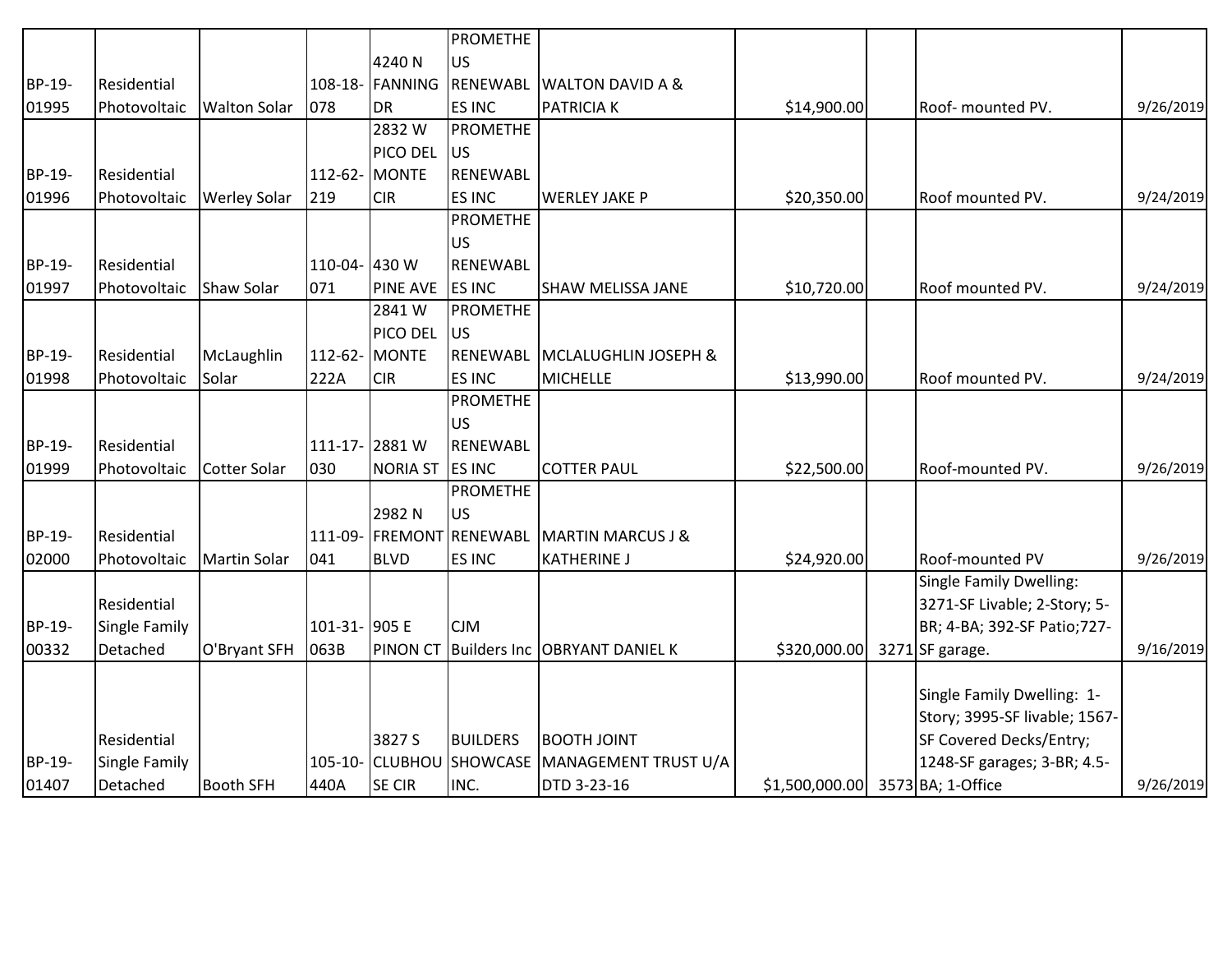|        |                    |                     |               |                 | <b>PROMETHE</b>          |                                 |                                  |                                                             |           |
|--------|--------------------|---------------------|---------------|-----------------|--------------------------|---------------------------------|----------------------------------|-------------------------------------------------------------|-----------|
|        |                    |                     |               | 4240 N          | <b>US</b>                |                                 |                                  |                                                             |           |
| BP-19- | Residential        |                     |               | 108-18- FANNING | RENEWABL                 | <b>WALTON DAVID A &amp;</b>     |                                  |                                                             |           |
| 01995  | Photovoltaic       | <b>Walton Solar</b> | 078           | DR              | <b>ES INC</b>            | PATRICIA K                      | \$14,900.00                      | Roof- mounted PV.                                           | 9/26/2019 |
|        |                    |                     |               | 2832W           | <b>PROMETHE</b>          |                                 |                                  |                                                             |           |
|        |                    |                     |               | <b>PICO DEL</b> | lus                      |                                 |                                  |                                                             |           |
| BP-19- | Residential        |                     |               | 112-62- MONTE   | RENEWABL                 |                                 |                                  |                                                             |           |
| 01996  | Photovoltaic       | <b>Werley Solar</b> | 219           | <b>CIR</b>      | <b>ES INC</b>            | <b>WERLEY JAKE P</b>            | \$20,350.00                      | Roof mounted PV.                                            | 9/24/2019 |
|        |                    |                     |               |                 | <b>PROMETHE</b>          |                                 |                                  |                                                             |           |
|        |                    |                     |               |                 | <b>US</b>                |                                 |                                  |                                                             |           |
| BP-19- | Residential        |                     | 110-04- 430 W |                 | RENEWABL                 |                                 |                                  |                                                             |           |
| 01997  | Photovoltaic       | Shaw Solar          | 071           | <b>PINE AVE</b> | <b>ES INC</b>            | <b>SHAW MELISSA JANE</b>        | \$10,720.00                      | <b>Roof mounted PV.</b>                                     | 9/24/2019 |
|        |                    |                     |               | 2841W           | PROMETHE                 |                                 |                                  |                                                             |           |
|        |                    |                     |               | <b>PICO DEL</b> | <b>JUS</b>               |                                 |                                  |                                                             |           |
| BP-19- | <b>Residential</b> | McLaughlin          |               | 112-62- MONTE   | RENEWABL                 | <b>MCLALUGHLIN JOSEPH &amp;</b> |                                  |                                                             |           |
| 01998  | Photovoltaic       | Solar               | 222A          | <b>CIR</b>      | <b>ES INC</b>            | <b>MICHELLE</b>                 | \$13,990.00                      | <b>Roof mounted PV.</b>                                     | 9/24/2019 |
|        |                    |                     |               |                 | <b>PROMETHE</b>          |                                 |                                  |                                                             |           |
|        |                    |                     |               |                 | <b>US</b>                |                                 |                                  |                                                             |           |
| BP-19- | <b>Residential</b> |                     |               | 111-17-2881 W   | <b>RENEWABL</b>          |                                 |                                  |                                                             |           |
| 01999  | Photovoltaic       | <b>Cotter Solar</b> | 030           | <b>NORIA ST</b> | <b>ES INC</b>            | <b>COTTER PAUL</b>              | \$22,500.00                      | Roof-mounted PV.                                            | 9/26/2019 |
|        |                    |                     |               |                 | <b>PROMETHE</b>          |                                 |                                  |                                                             |           |
|        |                    |                     |               | 2982N           | <b>US</b>                |                                 |                                  |                                                             |           |
| BP-19- | Residential        |                     |               | 111-09- FREMONT | RENEWABL                 | <b>MARTIN MARCUS J &amp;</b>    |                                  |                                                             |           |
| 02000  | Photovoltaic       | Martin Solar        | 041           | <b>BLVD</b>     | <b>ES INC</b>            | <b>KATHERINE J</b>              | \$24,920.00                      | <b>Roof-mounted PV</b>                                      | 9/26/2019 |
|        | Residential        |                     |               |                 |                          |                                 |                                  | Single Family Dwelling:                                     |           |
| BP-19- | Single Family      |                     | 101-31- 905 E |                 | <b>CJM</b>               |                                 |                                  | 3271-SF Livable; 2-Story; 5-<br>BR; 4-BA; 392-SF Patio;727- |           |
| 00332  | Detached           | O'Bryant SFH        | 063B          | <b>PINON CT</b> |                          | Builders Inc OBRYANT DANIEL K   | \$320,000.00                     | 3271 SF garage.                                             | 9/16/2019 |
|        |                    |                     |               |                 |                          |                                 |                                  |                                                             |           |
|        |                    |                     |               |                 |                          |                                 |                                  | Single Family Dwelling: 1-                                  |           |
|        |                    |                     |               |                 |                          |                                 |                                  | Story; 3995-SF livable; 1567-                               |           |
|        | Residential        |                     |               | 3827 S          | <b>BUILDERS</b>          | <b>BOOTH JOINT</b>              |                                  | SF Covered Decks/Entry;                                     |           |
| BP-19- | Single Family      |                     |               |                 | 105-10- CLUBHOU SHOWCASE | MANAGEMENT TRUST U/A            |                                  | 1248-SF garages; 3-BR; 4.5-                                 |           |
| 01407  | Detached           | <b>Booth SFH</b>    | 440A          | <b>SE CIR</b>   | INC.                     | DTD 3-23-16                     | \$1,500,000.00 3573 BA; 1-Office |                                                             | 9/26/2019 |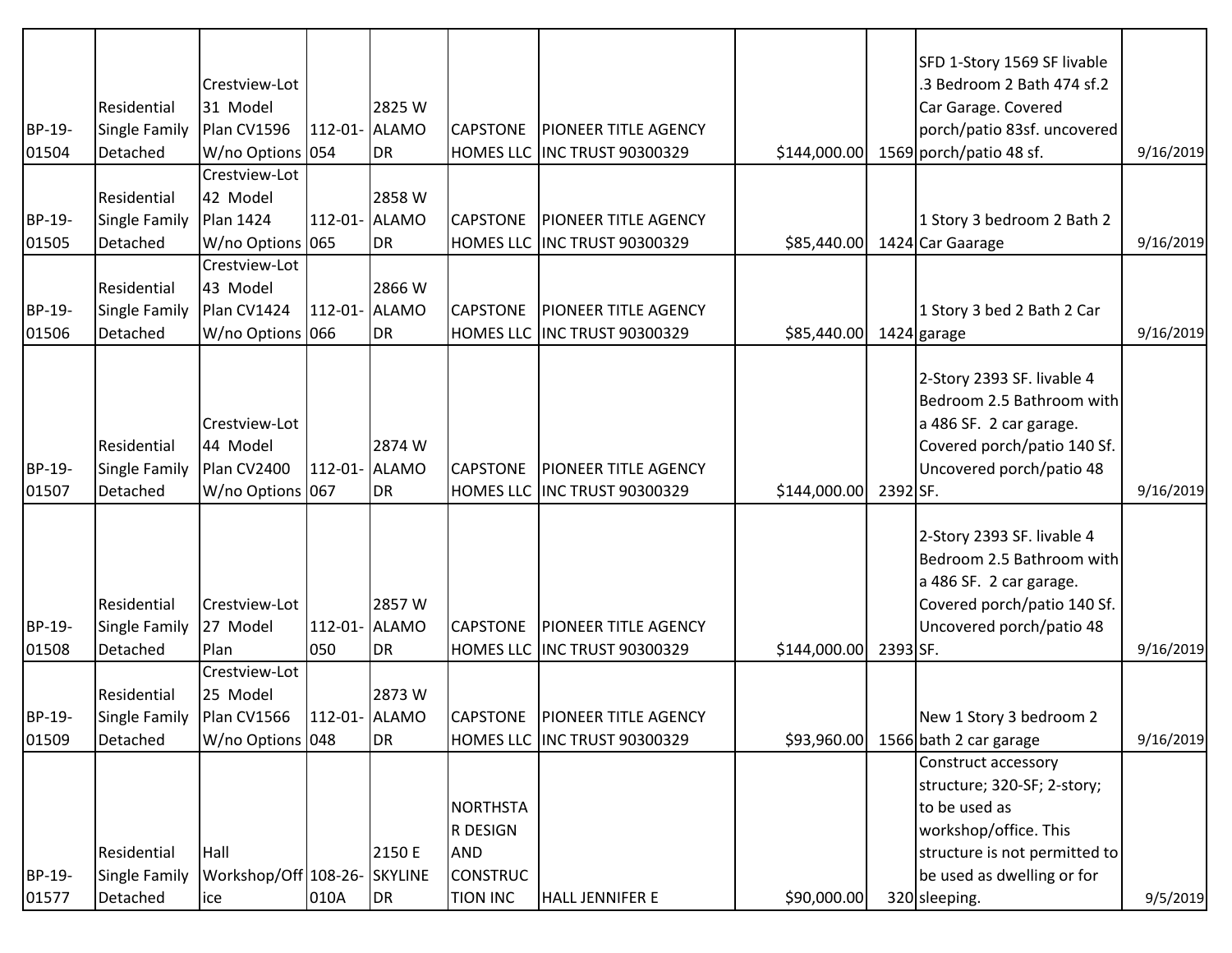| BP-19-<br>01504 | Residential<br>Single Family<br>Detached               | Crestview-Lot<br>31 Model<br>Plan CV1596<br>W/no Options 054 |               | 2825 W<br>112-01- ALAMO<br>DR             | <b>CAPSTONE</b>                                                                 | <b>PIONEER TITLE AGENCY</b><br>HOMES LLC INC TRUST 90300329     | \$144,000.00 |          | SFD 1-Story 1569 SF livable<br>3 Bedroom 2 Bath 474 sf.2<br>Car Garage. Covered<br>porch/patio 83sf. uncovered<br>1569 porch/patio 48 sf.                                    | 9/16/2019 |
|-----------------|--------------------------------------------------------|--------------------------------------------------------------|---------------|-------------------------------------------|---------------------------------------------------------------------------------|-----------------------------------------------------------------|--------------|----------|------------------------------------------------------------------------------------------------------------------------------------------------------------------------------|-----------|
| BP-19-<br>01505 | Residential<br>Single Family<br>Detached               | Crestview-Lot<br>42 Model<br>Plan 1424<br>W/no Options 065   |               | 2858 W<br>112-01- ALAMO<br>DR             | <b>CAPSTONE</b>                                                                 | <b>PIONEER TITLE AGENCY</b><br>HOMES LLC INC TRUST 90300329     | \$85,440.00  |          | 1 Story 3 bedroom 2 Bath 2<br>1424 Car Gaarage                                                                                                                               | 9/16/2019 |
| BP-19-<br>01506 | Residential<br>Single Family<br>Detached               | Crestview-Lot<br>43 Model<br>Plan CV1424<br>W/no Options 066 |               | 2866W<br>112-01- ALAMO<br>DR              | <b>CAPSTONE</b>                                                                 | <b>PIONEER TITLE AGENCY</b><br>HOMES LLC INC TRUST 90300329     | \$85,440.00  |          | 1 Story 3 bed 2 Bath 2 Car<br>1424 garage                                                                                                                                    | 9/16/2019 |
| BP-19-<br>01507 | Residential<br>Single Family<br>Detached               | Crestview-Lot<br>44 Model<br>Plan CV2400<br>W/no Options 067 | 112-01- ALAMO | 2874 W<br>DR <sub>.</sub>                 | <b>CAPSTONE</b>                                                                 | <b>PIONEER TITLE AGENCY</b><br>HOMES LLC INC TRUST 90300329     | \$144,000.00 | 2392 SF. | 2-Story 2393 SF. livable 4<br>Bedroom 2.5 Bathroom with<br>a 486 SF. 2 car garage.<br>Covered porch/patio 140 Sf.<br>Uncovered porch/patio 48                                | 9/16/2019 |
| BP-19-<br>01508 | Residential<br>Single Family<br>Detached               | Crestview-Lot<br>27 Model<br>Plan                            | 050           | 2857W<br>112-01- ALAMO<br>DR <sub>.</sub> | <b>CAPSTONE</b>                                                                 | <b>PIONEER TITLE AGENCY</b><br>HOMES LLC INC TRUST 90300329     | \$144,000.00 | 2393 SF. | 2-Story 2393 SF. livable 4<br>Bedroom 2.5 Bathroom with<br>a 486 SF. 2 car garage.<br>Covered porch/patio 140 Sf.<br>Uncovered porch/patio 48                                | 9/16/2019 |
| BP-19-<br>01509 | Residential<br>Single Family   Plan CV1566<br>Detached | Crestview-Lot<br>25 Model<br>W/no Options 048                |               | 2873W<br>112-01- ALAMO<br>DR              |                                                                                 | CAPSTONE   PIONEER TITLE AGENCY<br>HOMES LLC INC TRUST 90300329 | \$93,960.00  |          | New 1 Story 3 bedroom 2<br>1566 bath 2 car garage                                                                                                                            | 9/16/2019 |
| BP-19-<br>01577 | Residential<br>Single Family<br>Detached               | Hall<br>Workshop/Off 108-26- SKYLINE<br>ice                  | 010A          | 2150 E<br>DR                              | <b>NORTHSTA</b><br>R DESIGN<br><b>AND</b><br><b>CONSTRUC</b><br><b>TION INC</b> | HALL JENNIFER E                                                 | \$90,000.00  |          | Construct accessory<br>structure; 320-SF; 2-story;<br>to be used as<br>workshop/office. This<br>structure is not permitted to<br>be used as dwelling or for<br>320 sleeping. | 9/5/2019  |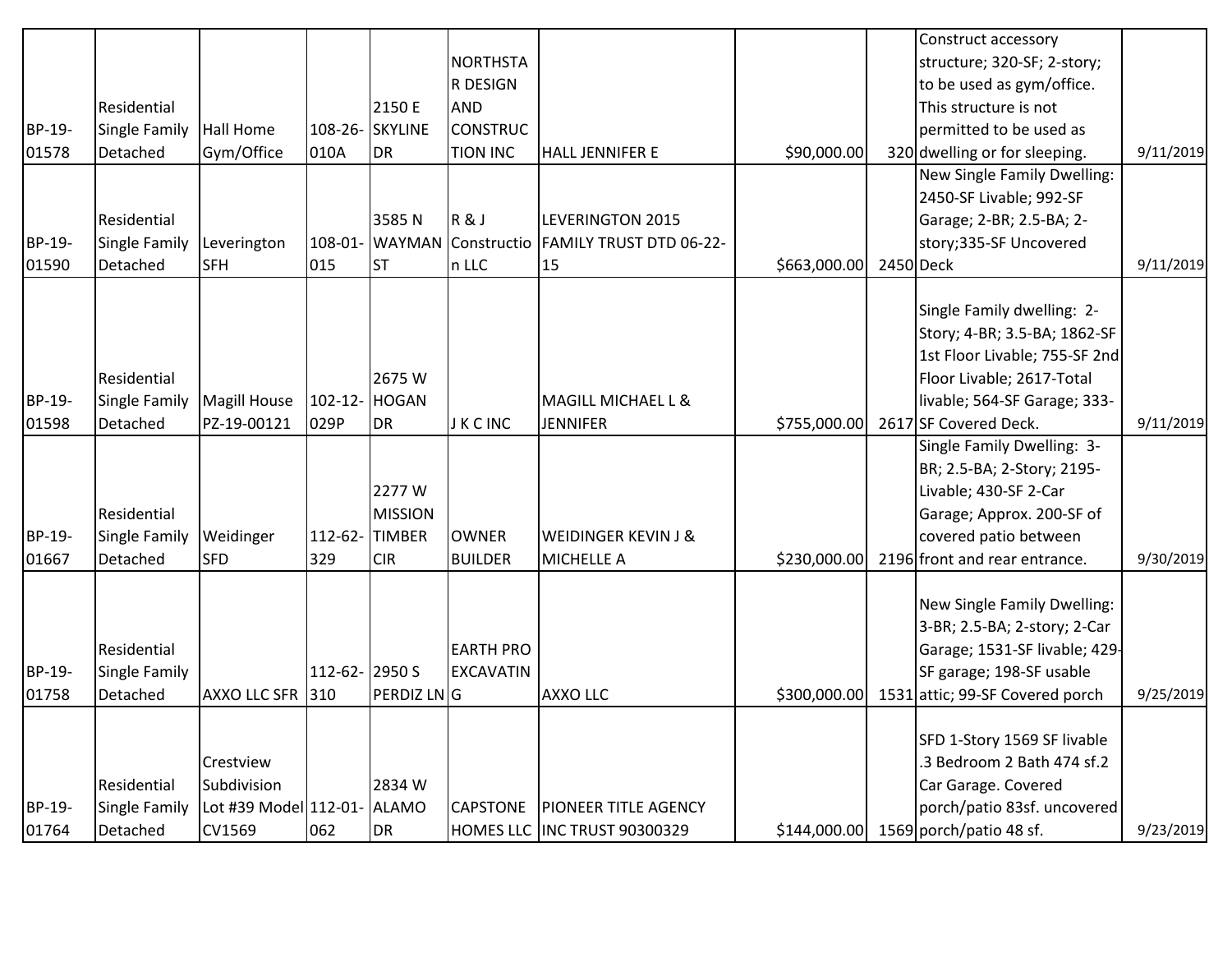|        |               |                             |               |                 |                            |                                |              | Construct accessory                          |           |
|--------|---------------|-----------------------------|---------------|-----------------|----------------------------|--------------------------------|--------------|----------------------------------------------|-----------|
|        |               |                             |               |                 | <b>NORTHSTA</b>            |                                |              | structure; 320-SF; 2-story;                  |           |
|        |               |                             |               |                 | R DESIGN                   |                                |              | to be used as gym/office.                    |           |
|        | Residential   |                             |               | 2150 E          | <b>AND</b>                 |                                |              | This structure is not                        |           |
| BP-19- | Single Family | Hall Home                   |               | 108-26- SKYLINE | <b>CONSTRUC</b>            |                                |              | permitted to be used as                      |           |
| 01578  | Detached      | Gym/Office                  | 010A          | <b>DR</b>       | <b>TION INC</b>            | <b>HALL JENNIFER E</b>         | \$90,000.00  | 320 dwelling or for sleeping.                | 9/11/2019 |
|        |               |                             |               |                 |                            |                                |              | New Single Family Dwelling:                  |           |
|        |               |                             |               |                 |                            |                                |              | 2450-SF Livable; 992-SF                      |           |
|        | Residential   |                             |               | 3585N           | R&J                        | <b>LEVERINGTON 2015</b>        |              | Garage; 2-BR; 2.5-BA; 2-                     |           |
| BP-19- | Single Family | Leverington                 |               |                 | 108-01- WAYMAN Constructio | <b>FAMILY TRUST DTD 06-22-</b> |              | story;335-SF Uncovered                       |           |
| 01590  | Detached      | <b>SFH</b>                  | 015           | lst             | n LLC                      | 15                             | \$663,000.00 | 2450 Deck                                    | 9/11/2019 |
|        |               |                             |               |                 |                            |                                |              |                                              |           |
|        |               |                             |               |                 |                            |                                |              | Single Family dwelling: 2-                   |           |
|        |               |                             |               |                 |                            |                                |              | Story; 4-BR; 3.5-BA; 1862-SF                 |           |
|        |               |                             |               |                 |                            |                                |              | 1st Floor Livable; 755-SF 2nd                |           |
|        | Residential   |                             |               | 2675W           |                            |                                |              | Floor Livable; 2617-Total                    |           |
| BP-19- | Single Family | <b>Magill House</b>         | 102-12- HOGAN |                 |                            | MAGILL MICHAEL L &             |              | livable; 564-SF Garage; 333-                 |           |
| 01598  | Detached      | PZ-19-00121                 | 029P          | <b>DR</b>       | <b>JKCINC</b>              | <b>JENNIFER</b>                | \$755,000.00 | 2617 SF Covered Deck.                        | 9/11/2019 |
|        |               |                             |               |                 |                            |                                |              | Single Family Dwelling: 3-                   |           |
|        |               |                             |               |                 |                            |                                |              | BR; 2.5-BA; 2-Story; 2195-                   |           |
|        |               |                             |               | 2277W           |                            |                                |              | Livable; 430-SF 2-Car                        |           |
|        | Residential   |                             |               | <b>MISSION</b>  |                            |                                |              | Garage; Approx. 200-SF of                    |           |
| BP-19- | Single Family | Weidinger                   |               | 112-62-TIMBER   | <b>OWNER</b>               | WEIDINGER KEVIN J &            |              | covered patio between                        |           |
| 01667  | Detached      | <b>SFD</b>                  | 329           | <b>CIR</b>      | <b>BUILDER</b>             | <b>MICHELLE A</b>              | \$230,000.00 | 2196 front and rear entrance.                | 9/30/2019 |
|        |               |                             |               |                 |                            |                                |              |                                              |           |
|        |               |                             |               |                 |                            |                                |              | New Single Family Dwelling:                  |           |
|        |               |                             |               |                 |                            |                                |              | 3-BR; 2.5-BA; 2-story; 2-Car                 |           |
|        | Residential   |                             |               |                 | <b>EARTH PRO</b>           |                                |              | Garage; 1531-SF livable; 429-                |           |
| BP-19- | Single Family |                             | 112-62-2950 S |                 | <b>EXCAVATIN</b>           |                                |              | SF garage; 198-SF usable                     |           |
| 01758  | Detached      | AXXO LLC SFR 310            |               | PERDIZ LNG      |                            | <b>AXXO LLC</b>                |              | \$300,000.00 1531 attic; 99-SF Covered porch | 9/25/2019 |
|        |               |                             |               |                 |                            |                                |              |                                              |           |
|        |               |                             |               |                 |                            |                                |              | SFD 1-Story 1569 SF livable                  |           |
|        |               | Crestview                   |               |                 |                            |                                |              | .3 Bedroom 2 Bath 474 sf.2                   |           |
|        | Residential   | Subdivision                 |               | 2834 W          |                            |                                |              | Car Garage. Covered                          |           |
| BP-19- | Single Family | Lot #39 Model 112-01- ALAMO |               |                 | <b>CAPSTONE</b>            | <b>PIONEER TITLE AGENCY</b>    |              | porch/patio 83sf. uncovered                  |           |
| 01764  | Detached      | CV1569                      | 062           | DR              |                            | HOMES LLC INC TRUST 90300329   |              | $$144,000.00$ 1569 porch/patio 48 sf.        | 9/23/2019 |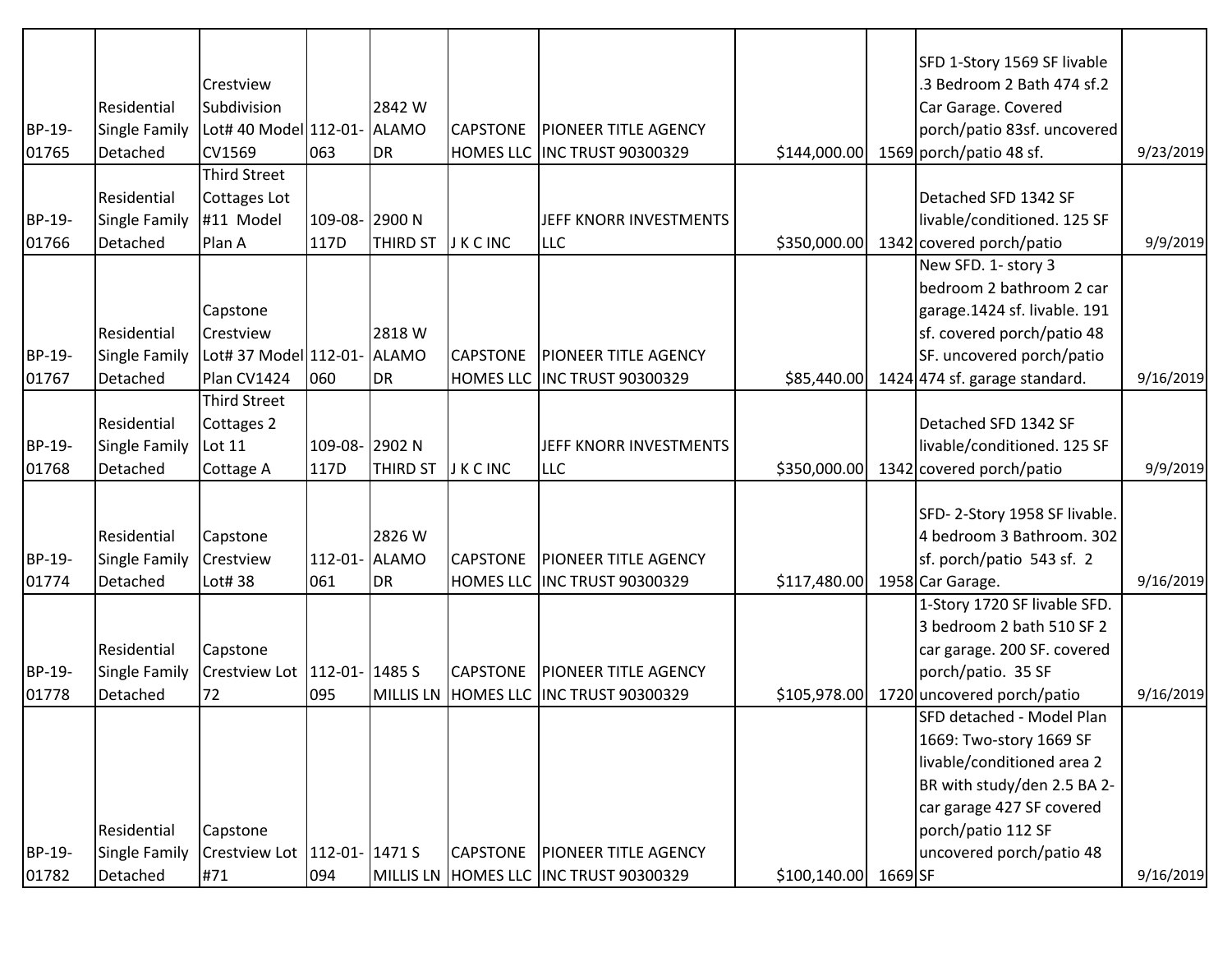|        |               |                                  |                |                 |                 |                                        |                               | SFD 1-Story 1569 SF livable                      |           |
|--------|---------------|----------------------------------|----------------|-----------------|-----------------|----------------------------------------|-------------------------------|--------------------------------------------------|-----------|
|        | Residential   | Crestview<br>Subdivision         |                | 2842 W          |                 |                                        |                               | 3 Bedroom 2 Bath 474 sf.2<br>Car Garage. Covered |           |
| BP-19- | Single Family | Lot# 40 Model 112-01- ALAMO      |                |                 | <b>CAPSTONE</b> | <b>PIONEER TITLE AGENCY</b>            |                               | porch/patio 83sf. uncovered                      |           |
| 01765  | Detached      | <b>CV1569</b>                    | 063            | <b>DR</b>       |                 | HOMES LLC INC TRUST 90300329           | \$144,000.00                  | 1569 porch/patio 48 sf.                          | 9/23/2019 |
|        |               | <b>Third Street</b>              |                |                 |                 |                                        |                               |                                                  |           |
|        | Residential   | Cottages Lot                     |                |                 |                 |                                        |                               | Detached SFD 1342 SF                             |           |
| BP-19- | Single Family | #11 Model                        | 109-08- 2900 N |                 |                 | JEFF KNORR INVESTMENTS                 |                               | livable/conditioned. 125 SF                      |           |
| 01766  | Detached      | Plan A                           | 117D           | <b>THIRD ST</b> | <b>JKCINC</b>   | <b>LLC</b>                             | \$350,000.00                  | 1342 covered porch/patio                         | 9/9/2019  |
|        |               |                                  |                |                 |                 |                                        |                               | New SFD. 1- story 3                              |           |
|        |               |                                  |                |                 |                 |                                        |                               | bedroom 2 bathroom 2 car                         |           |
|        |               | Capstone                         |                |                 |                 |                                        |                               | garage.1424 sf. livable. 191                     |           |
|        | Residential   | Crestview                        |                | 2818 W          |                 |                                        |                               | sf. covered porch/patio 48                       |           |
| BP-19- | Single Family | Lot# 37 Model 112-01- ALAMO      |                |                 | <b>CAPSTONE</b> | <b>PIONEER TITLE AGENCY</b>            |                               | SF. uncovered porch/patio                        |           |
| 01767  | Detached      | Plan CV1424                      | 060            | <b>DR</b>       |                 | HOMES LLC INC TRUST 90300329           |                               | $$85,440.00$ 1424 474 sf. garage standard.       | 9/16/2019 |
|        |               | <b>Third Street</b>              |                |                 |                 |                                        |                               |                                                  |           |
|        | Residential   | Cottages 2                       |                |                 |                 |                                        |                               | Detached SFD 1342 SF                             |           |
| BP-19- | Single Family | Lot 11                           | 109-08- 2902 N |                 |                 | JEFF KNORR INVESTMENTS                 |                               | livable/conditioned. 125 SF                      |           |
| 01768  | Detached      | Cottage A                        | 117D           | <b>THIRD ST</b> | J K C INC       | <b>LLC</b>                             | \$350,000.00                  | 1342 covered porch/patio                         | 9/9/2019  |
|        |               |                                  |                |                 |                 |                                        |                               |                                                  |           |
|        |               |                                  |                |                 |                 |                                        |                               | SFD-2-Story 1958 SF livable.                     |           |
|        | Residential   | Capstone                         |                | 2826 W          |                 |                                        |                               | 4 bedroom 3 Bathroom. 302                        |           |
| BP-19- | Single Family | Crestview                        | 112-01- ALAMO  |                 | <b>CAPSTONE</b> | <b>PIONEER TITLE AGENCY</b>            |                               | sf. porch/patio 543 sf. 2                        |           |
| 01774  | Detached      | Lot# 38                          | 061            | <b>DR</b>       |                 | HOMES LLC INC TRUST 90300329           | \$117,480.00 1958 Car Garage. |                                                  | 9/16/2019 |
|        |               |                                  |                |                 |                 |                                        |                               | 1-Story 1720 SF livable SFD.                     |           |
|        |               |                                  |                |                 |                 |                                        |                               | 3 bedroom 2 bath 510 SF 2                        |           |
|        | Residential   | Capstone                         |                |                 |                 |                                        |                               | car garage. 200 SF. covered                      |           |
| BP-19- | Single Family | Crestview Lot   112-01-   1485 S |                |                 | <b>CAPSTONE</b> | <b>PIONEER TITLE AGENCY</b>            |                               | porch/patio. 35 SF                               |           |
| 01778  | Detached      | 72                               | 095            |                 |                 | MILLIS LN HOMES LLC INC TRUST 90300329 | \$105,978.00                  | 1720 uncovered porch/patio                       | 9/16/2019 |
|        |               |                                  |                |                 |                 |                                        |                               | SFD detached - Model Plan                        |           |
|        |               |                                  |                |                 |                 |                                        |                               | 1669: Two-story 1669 SF                          |           |
|        |               |                                  |                |                 |                 |                                        |                               | livable/conditioned area 2                       |           |
|        |               |                                  |                |                 |                 |                                        |                               | BR with study/den 2.5 BA 2-                      |           |
|        |               |                                  |                |                 |                 |                                        |                               | car garage 427 SF covered                        |           |
|        | Residential   | Capstone                         |                |                 |                 |                                        |                               | porch/patio 112 SF<br>uncovered porch/patio 48   |           |
| BP-19- | Single Family | Crestview Lot   112-01-   1471 S |                |                 | <b>CAPSTONE</b> | <b>PIONEER TITLE AGENCY</b>            |                               |                                                  |           |
| 01782  | Detached      | #71                              | 094            |                 |                 | MILLIS LN HOMES LLC INC TRUST 90300329 | \$100,140.00 1669 SF          |                                                  | 9/16/2019 |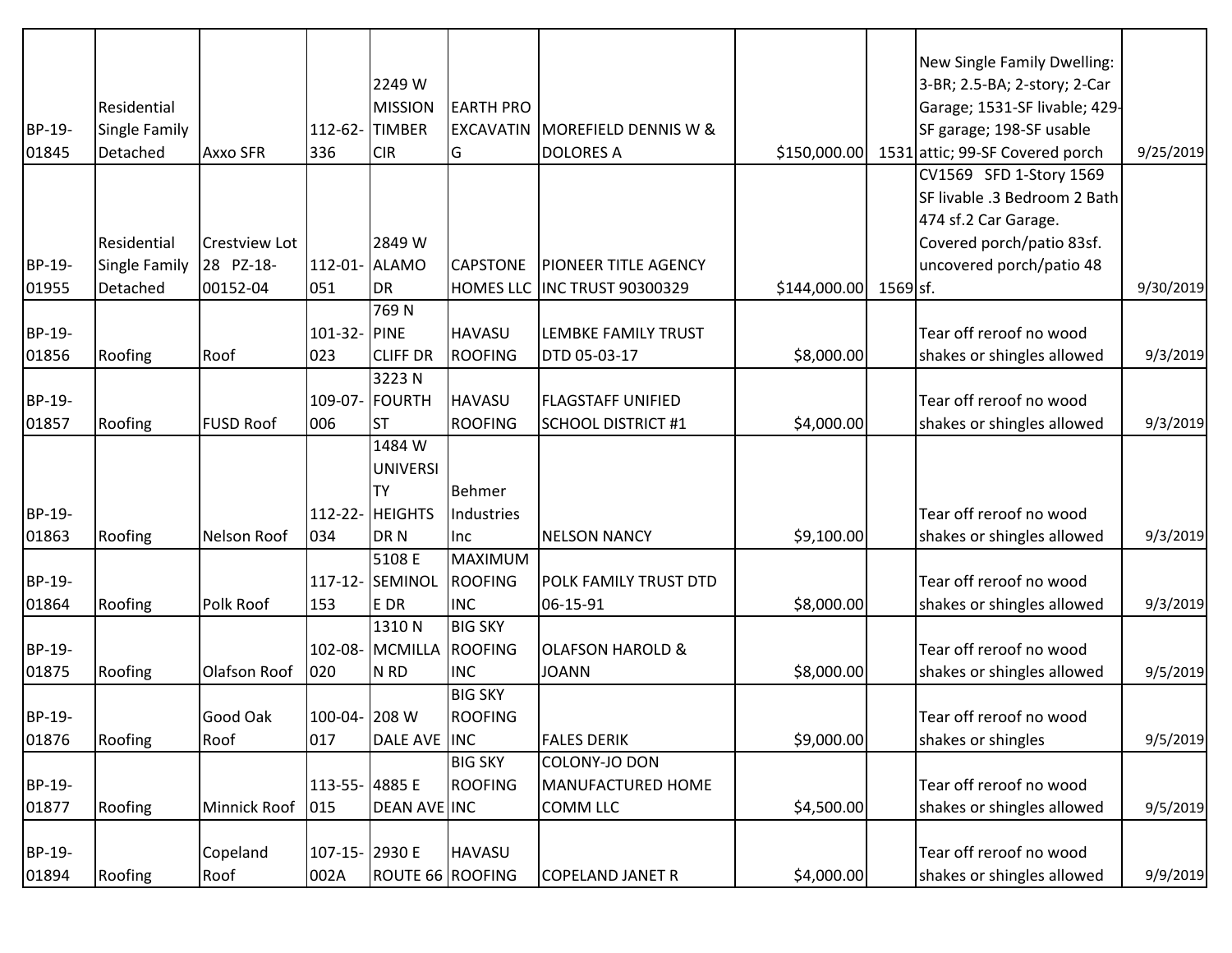|        |               |                      |                |                  |                           |                                 |              |            | New Single Family Dwelling:     |           |
|--------|---------------|----------------------|----------------|------------------|---------------------------|---------------------------------|--------------|------------|---------------------------------|-----------|
|        |               |                      |                | 2249 W           |                           |                                 |              |            | 3-BR; 2.5-BA; 2-story; 2-Car    |           |
|        | Residential   |                      |                | <b>MISSION</b>   | <b>EARTH PRO</b>          |                                 |              |            | Garage; 1531-SF livable; 429-   |           |
| BP-19- | Single Family |                      | 112-62-        | <b>TIMBER</b>    | <b>EXCAVATIN</b>          | <b>MOREFIELD DENNIS W &amp;</b> |              |            | SF garage; 198-SF usable        |           |
| 01845  | Detached      | Axxo SFR             | 336            | <b>CIR</b>       | G                         | <b>DOLORES A</b>                | \$150,000.00 |            | 1531 attic; 99-SF Covered porch | 9/25/2019 |
|        |               |                      |                |                  |                           |                                 |              |            | CV1569 SFD 1-Story 1569         |           |
|        |               |                      |                |                  |                           |                                 |              |            | SF livable .3 Bedroom 2 Bath    |           |
|        |               |                      |                |                  |                           |                                 |              |            | 474 sf.2 Car Garage.            |           |
|        | Residential   | <b>Crestview Lot</b> |                | 2849 W           |                           |                                 |              |            | Covered porch/patio 83sf.       |           |
| BP-19- | Single Family | 28 PZ-18-            | 112-01-        | <b>ALAMO</b>     | <b>CAPSTONE</b>           | <b>PIONEER TITLE AGENCY</b>     |              |            | uncovered porch/patio 48        |           |
| 01955  | Detached      | 00152-04             | 051            | DR               | <b>HOMES LLC</b>          | <b>INC TRUST 90300329</b>       | \$144,000.00 | $1569$ sf. |                                 | 9/30/2019 |
|        |               |                      |                | 769N             |                           |                                 |              |            |                                 |           |
| BP-19- |               |                      | 101-32- PINE   |                  | <b>HAVASU</b>             | LEMBKE FAMILY TRUST             |              |            | Tear off reroof no wood         |           |
| 01856  | Roofing       | Roof                 | 023            | <b>CLIFF DR</b>  | ROOFING                   | DTD 05-03-17                    | \$8,000.00   |            | shakes or shingles allowed      | 9/3/2019  |
|        |               |                      |                | 3223N            |                           |                                 |              |            |                                 |           |
| BP-19- |               |                      | 109-07-        | FOURTH           | <b>HAVASU</b>             | <b>FLAGSTAFF UNIFIED</b>        |              |            | Tear off reroof no wood         |           |
| 01857  | Roofing       | <b>FUSD Roof</b>     | 006            | <b>ST</b>        | <b>ROOFING</b>            | <b>SCHOOL DISTRICT #1</b>       | \$4,000.00   |            | shakes or shingles allowed      | 9/3/2019  |
|        |               |                      |                | 1484 W           |                           |                                 |              |            |                                 |           |
|        |               |                      |                | <b>UNIVERSI</b>  |                           |                                 |              |            |                                 |           |
|        |               |                      |                | <b>TY</b>        | <b>Behmer</b>             |                                 |              |            |                                 |           |
| BP-19- |               |                      |                | 112-22- HEIGHTS  | Industries                |                                 |              |            | Tear off reroof no wood         |           |
| 01863  | Roofing       | <b>Nelson Roof</b>   | 034            | DR <sub>N</sub>  | Inc                       | <b>NELSON NANCY</b>             | \$9,100.00   |            | shakes or shingles allowed      | 9/3/2019  |
|        |               |                      |                | 5108 E           | MAXIMUM                   |                                 |              |            |                                 |           |
| BP-19- |               |                      | 117-12         | SEMINOL          | ROOFING                   | POLK FAMILY TRUST DTD           |              |            | Tear off reroof no wood         |           |
| 01864  | Roofing       | Polk Roof            | 153            | E DR             | <b>INC</b>                | 06-15-91                        | \$8,000.00   |            | shakes or shingles allowed      | 9/3/2019  |
| BP-19- |               |                      | 102-08-        | 1310N<br>MCMILLA | <b>BIG SKY</b><br>ROOFING | <b>OLAFSON HAROLD &amp;</b>     |              |            | Tear off reroof no wood         |           |
| 01875  | Roofing       | <b>Olafson Roof</b>  | 020            | N RD             | <b>INC</b>                | <b>JOANN</b>                    | \$8,000.00   |            | shakes or shingles allowed      | 9/5/2019  |
|        |               |                      |                |                  | <b>BIG SKY</b>            |                                 |              |            |                                 |           |
| BP-19- |               | Good Oak             | 100-04- 208 W  |                  | <b>ROOFING</b>            |                                 |              |            | Tear off reroof no wood         |           |
| 01876  | Roofing       | Roof                 | 017            | DALE AVE INC     |                           | <b>FALES DERIK</b>              | \$9,000.00   |            | shakes or shingles              | 9/5/2019  |
|        |               |                      |                |                  | <b>BIG SKY</b>            | COLONY-JO DON                   |              |            |                                 |           |
| BP-19- |               |                      | 113-55- 4885 E |                  | <b>ROOFING</b>            | MANUFACTURED HOME               |              |            | Tear off reroof no wood         |           |
| 01877  | Roofing       | Minnick Roof         | 015            | DEAN AVE INC     |                           | <b>COMM LLC</b>                 | \$4,500.00   |            | shakes or shingles allowed      | 9/5/2019  |
|        |               |                      |                |                  |                           |                                 |              |            |                                 |           |
| BP-19- |               | Copeland             | 107-15- 2930 E |                  | <b>HAVASU</b>             |                                 |              |            | Tear off reroof no wood         |           |
| 01894  | Roofing       | Roof                 | 002A           | ROUTE 66 ROOFING |                           | <b>COPELAND JANET R</b>         | \$4,000.00   |            | shakes or shingles allowed      | 9/9/2019  |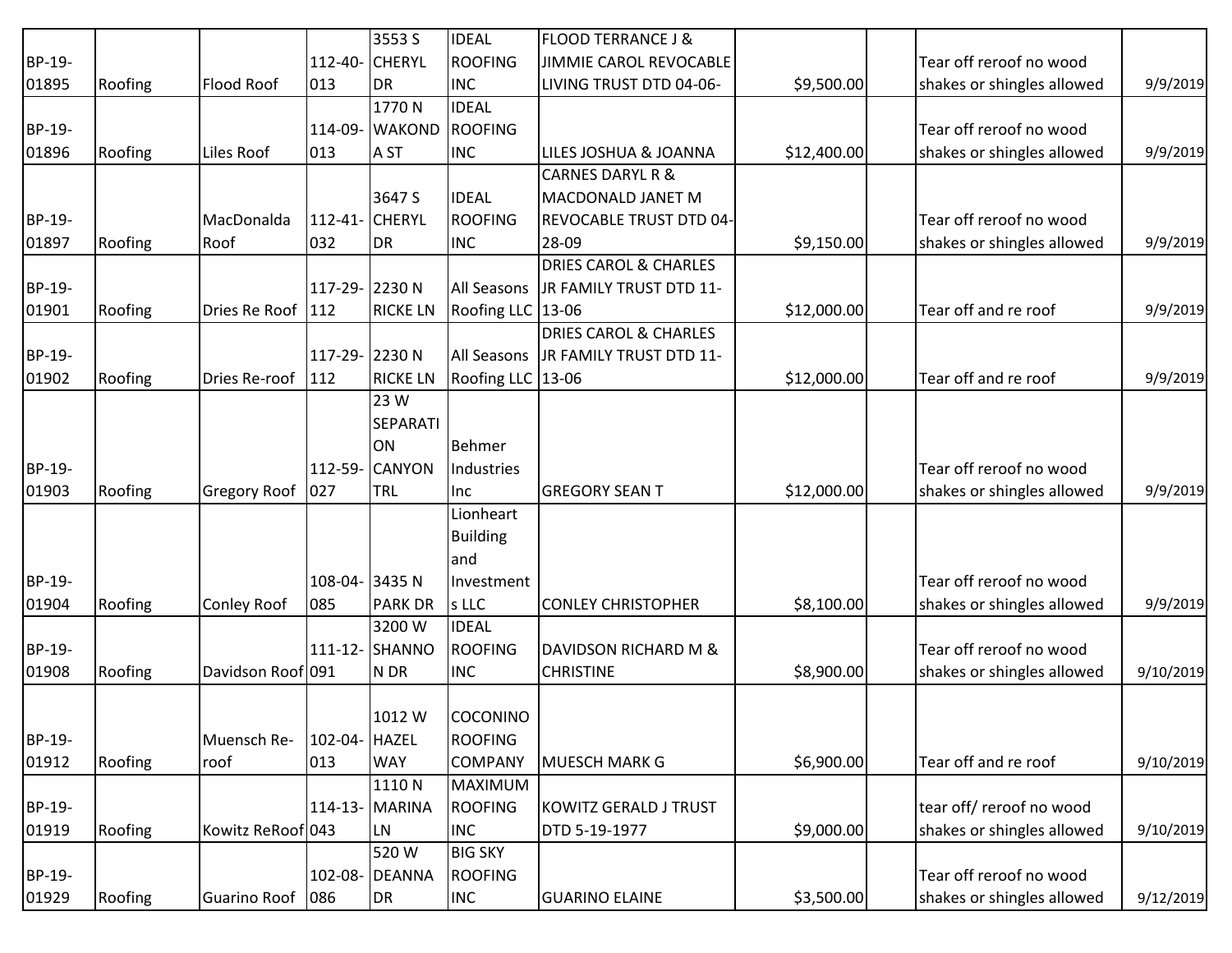|        |         |                    |                | 3553 S          | <b>IDEAL</b>       | <b>FLOOD TERRANCE J &amp;</b>    |             |                            |           |
|--------|---------|--------------------|----------------|-----------------|--------------------|----------------------------------|-------------|----------------------------|-----------|
| BP-19- |         |                    | 112-40- CHERYL |                 | ROOFING            | JIMMIE CAROL REVOCABLE           |             | Tear off reroof no wood    |           |
| 01895  | Roofing | Flood Roof         | 013            | DR              | <b>INC</b>         | LIVING TRUST DTD 04-06-          | \$9,500.00  | shakes or shingles allowed | 9/9/2019  |
|        |         |                    |                | 1770N           | <b>IDEAL</b>       |                                  |             |                            |           |
| BP-19- |         |                    | 114-09-        | <b>WAKOND</b>   | <b>ROOFING</b>     |                                  |             | Tear off reroof no wood    |           |
| 01896  | Roofing | Liles Roof         | 013            | A ST            | <b>INC</b>         | LILES JOSHUA & JOANNA            | \$12,400.00 | shakes or shingles allowed | 9/9/2019  |
|        |         |                    |                |                 |                    | <b>CARNES DARYL R &amp;</b>      |             |                            |           |
|        |         |                    |                | 3647 S          | <b>IDEAL</b>       | MACDONALD JANET M                |             |                            |           |
| BP-19- |         | MacDonalda         | 112-41- CHERYL |                 | ROOFING            | <b>REVOCABLE TRUST DTD 04-</b>   |             | Tear off reroof no wood    |           |
| 01897  | Roofing | Roof               | 032            | DR              | <b>INC</b>         | 28-09                            | \$9,150.00  | shakes or shingles allowed | 9/9/2019  |
|        |         |                    |                |                 |                    | <b>DRIES CAROL &amp; CHARLES</b> |             |                            |           |
| BP-19- |         |                    | 117-29- 2230 N |                 | All Seasons        | JR FAMILY TRUST DTD 11-          |             |                            |           |
| 01901  | Roofing | Dries Re Roof      | 112            | <b>RICKE LN</b> | Roofing LLC 13-06  |                                  | \$12,000.00 | Tear off and re roof       | 9/9/2019  |
|        |         |                    |                |                 |                    | <b>DRIES CAROL &amp; CHARLES</b> |             |                            |           |
| BP-19- |         |                    | 117-29- 2230 N |                 | All Seasons        | JR FAMILY TRUST DTD 11-          |             |                            |           |
| 01902  | Roofing | Dries Re-roof      | 112            | <b>RICKE LN</b> | <b>Roofing LLC</b> | 13-06                            | \$12,000.00 | Tear off and re roof       | 9/9/2019  |
|        |         |                    |                | 23 W            |                    |                                  |             |                            |           |
|        |         |                    |                | <b>SEPARATI</b> |                    |                                  |             |                            |           |
|        |         |                    |                | <b>ON</b>       | Behmer             |                                  |             |                            |           |
| BP-19- |         |                    | 112-59-        | <b>CANYON</b>   | Industries         |                                  |             | Tear off reroof no wood    |           |
| 01903  | Roofing | Gregory Roof       | 027            | <b>TRL</b>      | linc.              | <b>GREGORY SEAN T</b>            | \$12,000.00 | shakes or shingles allowed | 9/9/2019  |
|        |         |                    |                |                 | Lionheart          |                                  |             |                            |           |
|        |         |                    |                |                 | <b>Building</b>    |                                  |             |                            |           |
|        |         |                    |                |                 | land               |                                  |             |                            |           |
| BP-19- |         |                    | 108-04- 3435 N |                 | Investment         |                                  |             | Tear off reroof no wood    |           |
| 01904  | Roofing | <b>Conley Roof</b> | 085            | <b>PARK DR</b>  | s LLC              | <b>CONLEY CHRISTOPHER</b>        | \$8,100.00  | shakes or shingles allowed | 9/9/2019  |
|        |         |                    |                | 3200 W          | <b>IDEAL</b>       |                                  |             |                            |           |
| BP-19- |         |                    |                | 111-12- SHANNO  | <b>ROOFING</b>     | DAVIDSON RICHARD M &             |             | Tear off reroof no wood    |           |
| 01908  | Roofing | Davidson Roof 091  |                | N DR            | <b>INC</b>         | <b>CHRISTINE</b>                 | \$8,900.00  | shakes or shingles allowed | 9/10/2019 |
|        |         |                    |                |                 |                    |                                  |             |                            |           |
|        |         |                    |                | 1012W           | COCONINO           |                                  |             |                            |           |
| BP-19- |         | Muensch Re-        | 102-04- HAZEL  |                 | <b>ROOFING</b>     |                                  |             |                            |           |
| 01912  | Roofing | roof               | 013            | <b>WAY</b>      | <b>COMPANY</b>     | <b>MUESCH MARK G</b>             | \$6,900.00  | Tear off and re roof       | 9/10/2019 |
|        |         |                    |                | 1110N           | MAXIMUM            |                                  |             |                            |           |
| BP-19- |         |                    |                | 114-13- MARINA  | ROOFING            | <b>KOWITZ GERALD J TRUST</b>     |             | tear off/reroof no wood    |           |
| 01919  | Roofing | Kowitz ReRoof 043  |                | LN.             | <b>INC</b>         | DTD 5-19-1977                    | \$9,000.00  | shakes or shingles allowed | 9/10/2019 |
|        |         |                    |                | 520W            | <b>BIG SKY</b>     |                                  |             |                            |           |
| BP-19- |         |                    |                | 102-08- DEANNA  | <b>ROOFING</b>     |                                  |             | Tear off reroof no wood    |           |
| 01929  | Roofing | Guarino Roof       | 086            | DR              | <b>INC</b>         | <b>GUARINO ELAINE</b>            | \$3,500.00  | shakes or shingles allowed | 9/12/2019 |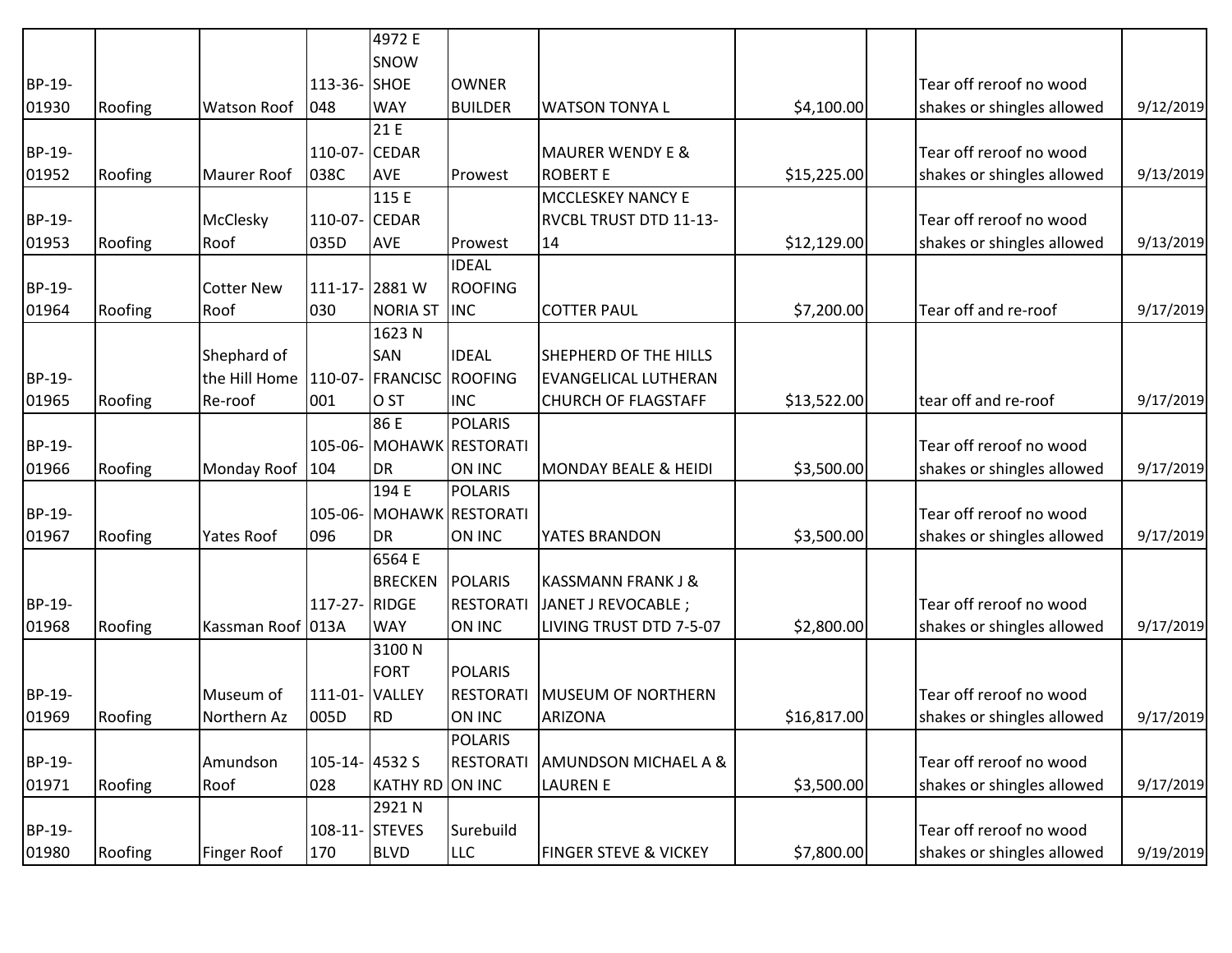|        |         |                       |                | 4972 E                  |                          |                                  |             |                            |           |
|--------|---------|-----------------------|----------------|-------------------------|--------------------------|----------------------------------|-------------|----------------------------|-----------|
|        |         |                       |                | SNOW                    |                          |                                  |             |                            |           |
| BP-19- |         |                       | 113-36- SHOE   |                         | <b>OWNER</b>             |                                  |             | Tear off reroof no wood    |           |
| 01930  | Roofing | <b>Watson Roof</b>    | 048            | <b>WAY</b>              | <b>BUILDER</b>           | <b>WATSON TONYAL</b>             | \$4,100.00  | shakes or shingles allowed | 9/12/2019 |
|        |         |                       |                | 21 E                    |                          |                                  |             |                            |           |
| BP-19- |         |                       | 110-07-        | <b>CEDAR</b>            |                          | <b>MAURER WENDY E &amp;</b>      |             | Tear off reroof no wood    |           |
| 01952  | Roofing | <b>Maurer Roof</b>    | 038C           | <b>AVE</b>              | Prowest                  | <b>ROBERT E</b>                  | \$15,225.00 | shakes or shingles allowed | 9/13/2019 |
|        |         |                       |                | 115 E                   |                          | <b>MCCLESKEY NANCY E</b>         |             |                            |           |
| BP-19- |         | McClesky              | 110-07- CEDAR  |                         |                          | RVCBL TRUST DTD 11-13-           |             | Tear off reroof no wood    |           |
| 01953  | Roofing | Roof                  | 035D           | <b>AVE</b>              | Prowest                  | 14                               | \$12,129.00 | shakes or shingles allowed | 9/13/2019 |
|        |         |                       |                |                         | <b>IDEAL</b>             |                                  |             |                            |           |
| BP-19- |         | <b>Cotter New</b>     |                | 111-17-2881 W           | <b>ROOFING</b>           |                                  |             |                            |           |
| 01964  | Roofing | Roof                  | 030            | <b>NORIA ST</b>         | <b>INC</b>               | <b>COTTER PAUL</b>               | \$7,200.00  | Tear off and re-roof       | 9/17/2019 |
|        |         |                       |                | 1623N                   |                          |                                  |             |                            |           |
|        |         | Shephard of           |                | <b>SAN</b>              | <b>IDEAL</b>             | SHEPHERD OF THE HILLS            |             |                            |           |
| BP-19- |         | the Hill Home 110-07- |                | <b>FRANCISC ROOFING</b> |                          | <b>EVANGELICAL LUTHERAN</b>      |             |                            |           |
| 01965  | Roofing | Re-roof               | 001            | <b>O</b> ST             | <b>INC</b>               | <b>CHURCH OF FLAGSTAFF</b>       | \$13,522.00 | tear off and re-roof       | 9/17/2019 |
|        |         |                       |                | 86 E                    | POLARIS                  |                                  |             |                            |           |
| BP-19- |         |                       |                |                         | 105-06- MOHAWK RESTORATI |                                  |             | Tear off reroof no wood    |           |
| 01966  | Roofing | Monday Roof           | 104            | DR                      | ON INC                   | MONDAY BEALE & HEIDI             | \$3,500.00  | shakes or shingles allowed | 9/17/2019 |
|        |         |                       |                | 194 E                   | POLARIS                  |                                  |             |                            |           |
| BP-19- |         |                       | 105-06-        |                         | MOHAWK RESTORATI         |                                  |             | Tear off reroof no wood    |           |
| 01967  | Roofing | <b>Yates Roof</b>     | 096            | <b>DR</b>               | ON INC                   | YATES BRANDON                    | \$3,500.00  | shakes or shingles allowed | 9/17/2019 |
|        |         |                       |                | 6564 E                  |                          |                                  |             |                            |           |
|        |         |                       |                | BRECKEN                 | POLARIS                  | <b>KASSMANN FRANK J &amp;</b>    |             |                            |           |
| BP-19- |         |                       | 117-27- RIDGE  |                         | <b>RESTORATI</b>         | JANET J REVOCABLE ;              |             | Tear off reroof no wood    |           |
| 01968  | Roofing | Kassman Roof 013A     |                | <b>WAY</b>              | ON INC                   | LIVING TRUST DTD 7-5-07          | \$2,800.00  | shakes or shingles allowed | 9/17/2019 |
|        |         |                       |                | 3100N                   |                          |                                  |             |                            |           |
|        |         |                       |                | FORT                    | POLARIS                  |                                  |             |                            |           |
| BP-19- |         | Museum of             | 111-01- VALLEY |                         | <b>RESTORATI</b>         | <b>MUSEUM OF NORTHERN</b>        |             | Tear off reroof no wood    |           |
| 01969  | Roofing | Northern Az           | 005D           | RD <sup></sup>          | ON INC                   | ARIZONA                          | \$16,817.00 | shakes or shingles allowed | 9/17/2019 |
|        |         |                       |                |                         | POLARIS                  |                                  |             |                            |           |
| BP-19- |         | Amundson              | 105-14- 4532 S |                         | <b>RESTORATI</b>         | <b>AMUNDSON MICHAEL A &amp;</b>  |             | Tear off reroof no wood    |           |
| 01971  | Roofing | Roof                  | 028            | KATHY RD ON INC         |                          | <b>LAUREN E</b>                  | \$3,500.00  | shakes or shingles allowed | 9/17/2019 |
|        |         |                       |                | 2921N                   |                          |                                  |             |                            |           |
| BP-19- |         |                       | 108-11- STEVES |                         | Surebuild                |                                  |             | Tear off reroof no wood    |           |
| 01980  | Roofing | Finger Roof           | 170            | <b>BLVD</b>             | <b>LLC</b>               | <b>FINGER STEVE &amp; VICKEY</b> | \$7,800.00  | shakes or shingles allowed | 9/19/2019 |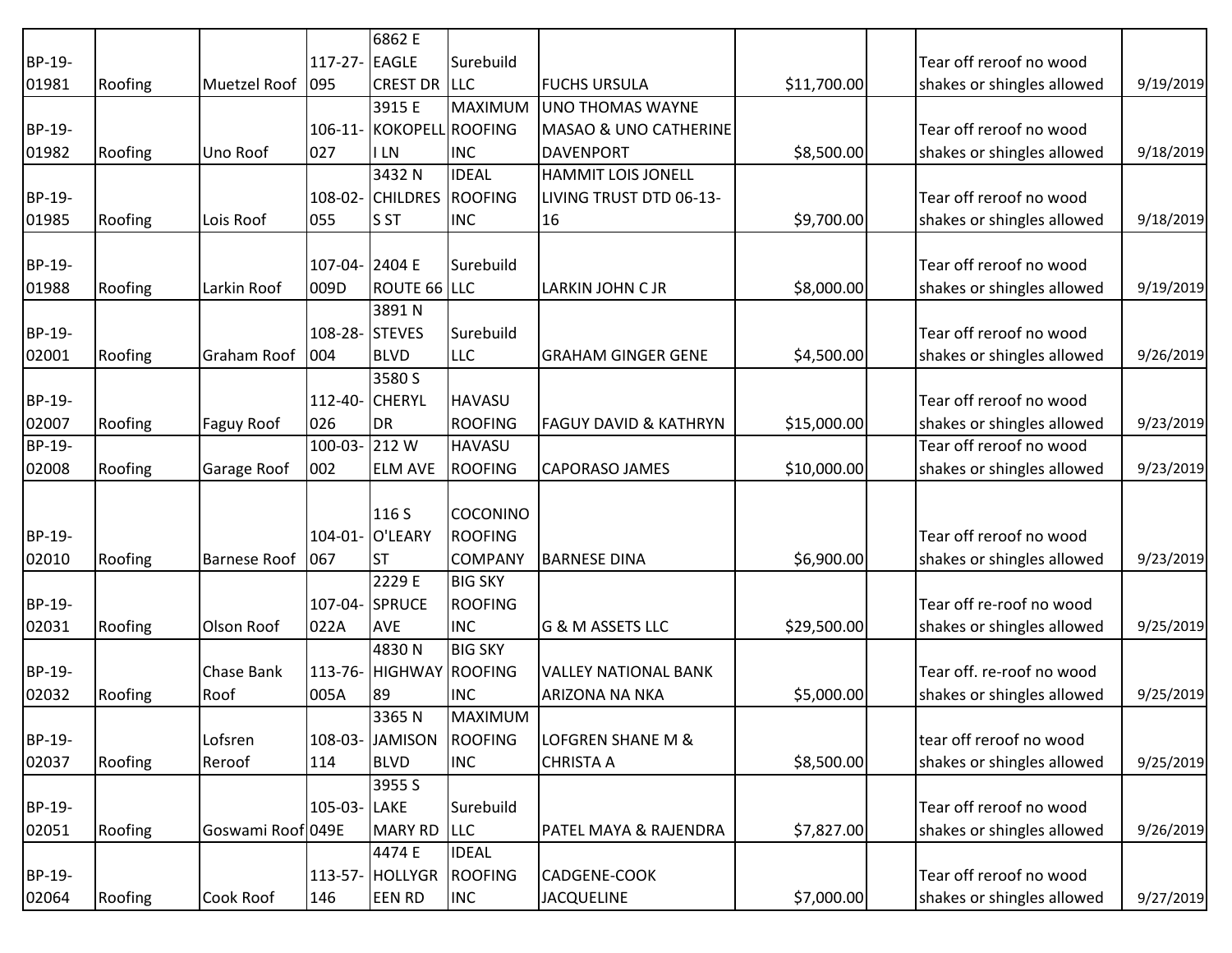|        |         |                    |                | 6862 E                   |                 |                                  |             |                            |           |
|--------|---------|--------------------|----------------|--------------------------|-----------------|----------------------------------|-------------|----------------------------|-----------|
| BP-19- |         |                    | 117-27- EAGLE  |                          | Surebuild       |                                  |             | Tear off reroof no wood    |           |
| 01981  | Roofing | Muetzel Roof 1095  |                | <b>CREST DR LLC</b>      |                 | <b>FUCHS URSULA</b>              | \$11,700.00 | shakes or shingles allowed | 9/19/2019 |
|        |         |                    |                | 3915 E                   | MAXIMUM         | <b>UNO THOMAS WAYNE</b>          |             |                            |           |
| BP-19- |         |                    |                | 106-11- KOKOPELL ROOFING |                 | MASAO & UNO CATHERINE            |             | Tear off reroof no wood    |           |
| 01982  | Roofing | Uno Roof           | 027            | <b>ILN</b>               | <b>INC</b>      | <b>DAVENPORT</b>                 | \$8,500.00  | shakes or shingles allowed | 9/18/2019 |
|        |         |                    |                | 3432 N                   | <b>IDEAL</b>    | <b>HAMMIT LOIS JONELL</b>        |             |                            |           |
| BP-19- |         |                    |                | 108-02- CHILDRES ROOFING |                 | LIVING TRUST DTD 06-13-          |             | Tear off reroof no wood    |           |
| 01985  | Roofing | Lois Roof          | 055            | <b>S</b> ST              | <b>INC</b>      | 16                               | \$9,700.00  | shakes or shingles allowed | 9/18/2019 |
| BP-19- |         |                    | 107-04- 2404 E |                          | Surebuild       |                                  |             | Tear off reroof no wood    |           |
|        |         |                    |                |                          |                 |                                  |             |                            |           |
| 01988  | Roofing | Larkin Roof        | 009D           | ROUTE 66 LLC<br>3891N    |                 | LARKIN JOHN C JR                 | \$8,000.00  | shakes or shingles allowed | 9/19/2019 |
| BP-19- |         |                    | 108-28- STEVES |                          | Surebuild       |                                  |             | Tear off reroof no wood    |           |
| 02001  | Roofing | Graham Roof 004    |                | <b>BLVD</b>              | <b>LLC</b>      | <b>GRAHAM GINGER GENE</b>        | \$4,500.00  | shakes or shingles allowed | 9/26/2019 |
|        |         |                    |                | 3580 S                   |                 |                                  |             |                            |           |
| BP-19- |         |                    | 112-40- CHERYL |                          | <b>HAVASU</b>   |                                  |             | Tear off reroof no wood    |           |
| 02007  | Roofing | <b>Faguy Roof</b>  | 026            | <b>DR</b>                | ROOFING         | <b>FAGUY DAVID &amp; KATHRYN</b> | \$15,000.00 | shakes or shingles allowed | 9/23/2019 |
| BP-19- |         |                    | 100-03-212W    |                          | <b>HAVASU</b>   |                                  |             | Tear off reroof no wood    |           |
| 02008  | Roofing | Garage Roof        | 002            | <b>ELM AVE</b>           | <b>ROOFING</b>  | <b>CAPORASO JAMES</b>            | \$10,000.00 | shakes or shingles allowed | 9/23/2019 |
|        |         |                    |                |                          |                 |                                  |             |                            |           |
|        |         |                    |                | 116 S                    | <b>COCONINO</b> |                                  |             |                            |           |
| BP-19- |         |                    |                | 104-01- O'LEARY          | <b>ROOFING</b>  |                                  |             | Tear off reroof no wood    |           |
| 02010  | Roofing | Barnese Roof   067 |                | <b>ST</b>                | <b>COMPANY</b>  | <b>BARNESE DINA</b>              | \$6,900.00  | shakes or shingles allowed | 9/23/2019 |
|        |         |                    |                | 2229 E                   | <b>BIG SKY</b>  |                                  |             |                            |           |
| BP-19- |         |                    | 107-04- SPRUCE |                          | ROOFING         |                                  |             | Tear off re-roof no wood   |           |
| 02031  | Roofing | Olson Roof         | 022A           | <b>AVE</b>               | <b>INC</b>      | G & M ASSETS LLC                 | \$29,500.00 | shakes or shingles allowed | 9/25/2019 |
|        |         |                    |                | 4830N                    | <b>BIG SKY</b>  |                                  |             |                            |           |
| BP-19- |         | <b>Chase Bank</b>  |                | 113-76- HIGHWAY ROOFING  |                 | <b>VALLEY NATIONAL BANK</b>      |             | Tear off. re-roof no wood  |           |
| 02032  | Roofing | Roof               | 005A           | 89                       | <b>INC</b>      | <b>ARIZONA NA NKA</b>            | \$5,000.00  | shakes or shingles allowed | 9/25/2019 |
|        |         |                    |                | 3365N                    | MAXIMUM         |                                  |             |                            |           |
| BP-19- |         | Lofsren            |                | 108-03- JAMISON          | ROOFING         | LOFGREN SHANE M &                |             | tear off reroof no wood    |           |
| 02037  | Roofing | Reroof             | 114            | <b>BLVD</b>              | <b>INC</b>      | <b>CHRISTA A</b>                 | \$8,500.00  | shakes or shingles allowed | 9/25/2019 |
|        |         |                    |                | 3955 S                   |                 |                                  |             |                            |           |
| BP-19- |         |                    | 105-03- LAKE   |                          | Surebuild       |                                  |             | Tear off reroof no wood    |           |
| 02051  | Roofing | Goswami Roof 049E  |                | MARY RD                  | <b>LLC</b>      | PATEL MAYA & RAJENDRA            | \$7,827.00  | shakes or shingles allowed | 9/26/2019 |
|        |         |                    |                | 4474 E                   | <b>IDEAL</b>    |                                  |             |                            |           |
| BP-19- |         |                    |                | 113-57- HOLLYGR          | ROOFING         | CADGENE-COOK                     |             | Tear off reroof no wood    |           |
| 02064  | Roofing | Cook Roof          | 146            | <b>EEN RD</b>            | <b>INC</b>      | <b>JACQUELINE</b>                | \$7,000.00  | shakes or shingles allowed | 9/27/2019 |